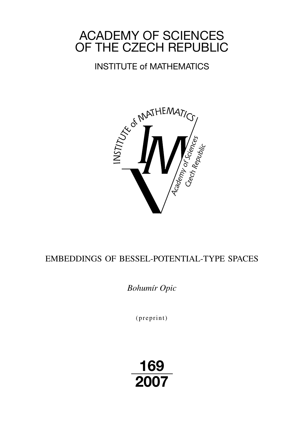# ACADEMY OF SCIENCES OF THE CZECH REPUBLIC

# INSTITUTE of MATHEMATICS



# EMBEDDINGS OF BESSEL-POTENTIAL-TYPE SPACES

*Bohumír Opic*

 $(p$  reprint $)$ 

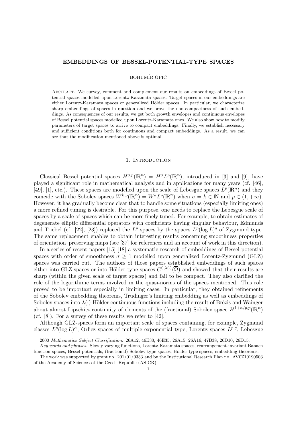#### EMBEDDINGS OF BESSEL-POTENTIAL-TYPE SPACES

#### BOHUMÍR OPIC

Abstract. We survey, comment and complement our results on embeddings of Bessel potential spaces modelled upon Lorentz-Karamata spaces. Target spaces in our embeddings are either Lorentz-Karamata spaces or generalized Hölder spaces. In particular, we characterize sharp embeddings of spaces in question and we prove the non-compactness of such embeddings. As consequences of our results, we get both growth envelopes and continuous envelopes of Bessel potential spaces modelled upon Lorentz-Karamata ones. We also show how to modify parameters of target spaces to arrive to compact embeddings. Finally, we establish necessary and sufficient conditions both for continuous and compact embeddings. As a result, we can see that the modification mentioned above is optimal.

#### 1. INTRODUCTION

Classical Bessel potential spaces  $H^{\sigma,p}(\mathbb{R}^n) = H^{\sigma}L^p(\mathbb{R}^n)$ , introduced in [3] and [9], have played a significant role in mathematical analysis and in applications for many years (cf. [46], [49], [1], etc.). These spaces are modelled upon the scale of Lebesgue spaces  $L^p(\mathbb{R}^n)$  and they coincide with the Sobolev spaces  $W^{k,p}(\mathbb{R}^n) = W^k L^p(\mathbb{R}^n)$  when  $\sigma = k \in \mathbb{N}$  and  $p \in (1, +\infty)$ . However, it has gradually become clear that to handle some situations (especially limiting ones) a more refined tuning is desirable. For this purpose, one needs to replace the Lebesgue scale of spaces by a scale of spaces which can be more finely tuned. For example, to obtain estimates of degenerate elliptic differential operators with coefficients having singular behaviour, Edmunds and Triebel (cf. [22], [23]) replaced the  $L^p$  spaces by the spaces  $L^p(\log L)^q$  of Zygmund type. The same replacement enables to obtain interesting results concerning smoothness properties of orientation–preserving maps (see [37] for references and an account of work in this direction).

In a series of recent papers [15]-[18] a systematic research of embeddings of Bessel potential spaces with order of smoothness  $\sigma > 1$  modelled upon generalized Lorentz-Zygmund (GLZ) spaces was carried out. The authors of those papers established embeddings of such spaces either into GLZ-spaces or into Hölder-type spaces  $C^{0,\lambda(\cdot)}(\overline{\Omega})$  and showed that their results are sharp (within the given scale of target spaces) and fail to be compact. They also clarified the role of the logarithmic terms involved in the quasi-norms of the spaces mentioned. This role proved to be important especially in limiting cases. In particular, they obtained refinements of the Sobolev embedding theorems, Trudinger's limiting embedding as well as embeddings of Sobolev spaces into  $\lambda(\cdot)$ -Hölder continuous functions including the result of Brézis and Wainger about almost Lipschitz continuity of elements of the (fractional) Sobolev space  $H^{1+n/p,p}(\mathbb{R}^n)$ (cf. [8]). For a survey of these results we refer to [42].

Although GLZ-spaces form an important scale of spaces containing, for example, Zygmund classes  $L^p(\log L)^\alpha$ , Orlicz spaces of multiple exponential type, Lorentz spaces  $L^{p,q}$ , Lebesgue

<sup>2000</sup> Mathematics Subject Classification. 26A12, 46E30, 46E35, 26A15, 26A16, 47B38, 26D10, 26D15.

Key words and phrases. Slowly varying functions, Lorentz-Karamata spaces, rearrangement-invariant Banach function spaces, Bessel potentials, (fractional) Sobolev-type spaces, Hölder-type spaces, embedding theorems.

The work was supported by grant no. 201/01/0333 and by the Institutional Research Plan no. AV0Z10190503 of the Academy of Sciences of the Czech Republic (AS CR).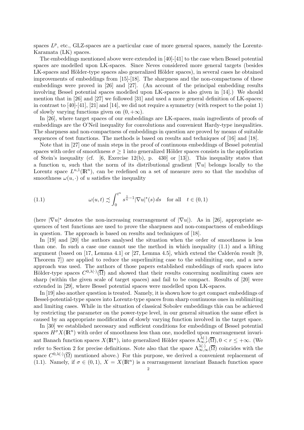spaces  $L^p$ , etc., GLZ-spaces are a particular case of more general spaces, namely the Lorentz-Karamata (LK) spaces.

The embeddings mentioned above were extended in [40]-[41] to the case when Bessel potential spaces are modelled upon LK-spaces. Since Neves considered more general targets (besides LK-spaces and Hölder-type spaces also generalized Hölder spaces), in several cases he obtained improvements of embeddings from [15]-[18]. The sharpness and the non-compactness of these embeddings were proved in [26] and [27]. (An account of the principal embedding results involving Bessel potential spaces modelled upon LK-spaces is also given in [14].) We should mention that in [26] and [27] we followed [31] and used a more general definition of LK-spaces; in contrast to  $[40]$ - $[41]$ ,  $[21]$  and  $[14]$ , we did not require a symmetry (with respect to the point 1) of slowly varying functions given on  $(0, +\infty)$ .

In [26], where target spaces of our embeddings are LK-spaces, main ingredients of proofs of embeddings are the O'Neil inequality for convolutions and convenient Hardy-type inequalities. The sharpness and non-compactness of embeddings in question are proved by means of suitable sequences of test functions. The methods is based on results and techniques of [16] and [18].

Note that in [27] one of main steps in the proof of continuous embeddings of Bessel potential spaces with order of smoothness  $\sigma > 1$  into generalized Hölder spaces consists in the application of Stein's inequality (cf.  $[6, \text{ Exercise 12(b)}, \text{p. 430}]$  or  $[13]$ ). This inequality states that a function u, such that the norm of its distributional gradient  $|\nabla u|$  belongs locally to the Lorentz space  $L^{n,1}(\mathbb{R}^n)$ , can be redefined on a set of measure zero so that the modulus of smoothness  $\omega(u, \cdot)$  of u satisfies the inequality

(1.1) 
$$
\omega(u,t) \precsim \int_0^{t^n} s^{\frac{1}{n}-1} |\nabla u|^*(s) ds \text{ for all } t \in (0,1)
$$

(here  $|\nabla u|^*$  denotes the non-increasing rearrangement of  $|\nabla u|$ ). As in [26], appropriate sequences of test functions are used to prove the sharpness and non-compactness of embeddings in question. The approach is based on results and techniques of [18].

In [19] and [20] the authors analysed the situation when the order of smoothness is less than one. In such a case one cannot use the method in which inequality  $(1.1)$  and a lifting argument (based on [17, Lemma 4.1] or [27, Lemma 4.5], which extend the Calderón result [9, Theorem 7]) are applied to reduce the superlimiting case to the sublimiting one, and a new approach was used. The authors of those papers established embeddings of such spaces into Hölder-type spaces  $C^{0,\lambda(\cdot)}(\overline{\Omega})$  and showed that their results concerning nonlimiting cases are sharp (within the given scale of target spaces) and fail to be compact. Results of [20] were extended in [29], where Bessel potential spaces were modelled upon LK-spaces.

In [19] also another question is treated. Namely, it is shown how to get compact embeddings of Bessel-potential-type spaces into Lorentz-type spaces from sharp continuous ones in sublimiting and limiting cases. While in the situation of classical Sobolev embeddings this can be achieved by restricting the parameter on the power-type level, in our general situation the same effect is caused by an appropriate modification of slowly varying function involved in the target space.

In [30] we established necessary and sufficient conditions for embeddings of Bessel potential spaces  $H^{\sigma} X(\mathbb{R}^n)$  with order of smoothness less than one, modelled upon rearrangement invariant Banach function spaces  $X(\mathbb{R}^n)$ , into generalized Hölder spaces  $\Lambda_{\infty,r}^{\lambda(\cdot)}(\overline{\Omega}), 0 < r \leq +\infty$ . (We refer to Section 2 for precise definitions. Note also that the space  $\Lambda_{\infty,\infty}^{\lambda(\cdot)}(\overline{\Omega})$  coincides with the space  $C^{0,\lambda(\cdot)}(\overline{\Omega})$  mentioned above.) For this purpose, we derived a convenient replacement of (1.1). Namely, if  $\sigma \in (0,1)$ ,  $X = X(\mathbb{R}^n)$  is a rearrangement invariant Banach function space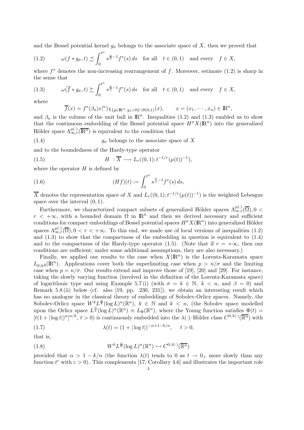and the Bessel potential kernel  $g_{\sigma}$  belongs to the associate space of X, then we proved that

(1.2) 
$$
\omega(f * g_{\sigma}, t) \precsim \int_0^{t^n} s^{\frac{\sigma}{n}-1} f^*(s) ds \text{ for all } t \in (0,1) \text{ and every } f \in X,
$$

where  $f^*$  denotes the non-increasing rearrangement of f. Moreover, estimate  $(1.2)$  is sharp in the sense that

(1.3) 
$$
\omega(\overline{f} * g_{\sigma}, t) \gtrsim \int_0^{t^n} s^{\frac{\sigma}{n} - 1} f^*(s) ds \text{ for all } t \in (0, 1) \text{ and every } f \in X,
$$

where

$$
\overline{f}(x) = f^*(\beta_n |x|^n) \chi_{\{y \in \mathbb{R}^n : y_1 > 0\} \cap B(0,1)}(x), \qquad x = (x_1, \dots, x_n) \in \mathbb{R}^n,
$$

and  $\beta_n$  is the volume of the unit ball in  $\mathbb{R}^n$ . Inequalities (1.2) and (1.3) enabled us to show that the continuous embedding of the Bessel potential space  $H^{\sigma}X(\mathbb{R}^n)$  into the generalized Hölder space  $\Lambda_{\infty,r}^{\mu(\cdot)}(\overline{\mathbb{R}^n})$  is equivalent to the condition that

(1.4) 
$$
g_{\sigma}
$$
 belongs to the associate space of X

and to the boundedness of the Hardy-type operator

(1.5) 
$$
H : \overline{X} \longrightarrow L_r((0,1);t^{-1/r}(\mu(t))^{-1}),
$$

where the operator  $H$  is defined by

(1.6) 
$$
(Hf)(t) := \int_0^{t^n} s^{\frac{\sigma}{n} - 1} f^*(s) ds,
$$

 $\overline{X}$  denotes the representation space of X and  $L_r((0,1);t^{-1/r}(\mu(t))^{-1})$  is the weighted Lebesgue space over the interval  $(0, 1)$ .

Furthermore, we characterized compact subsets of generalized Hölder spaces  $\Lambda_{\infty,r}^{\mu(\cdot)}(\overline{\Omega}), 0 <$  $r < +\infty$ , with a bounded domain  $\Omega$  in  $\mathbb{R}^n$  and then we derived necessary and sufficient conditions for compact embeddings of Bessel potential spaces  $H^{\sigma}X(\mathbb{R}^n)$  into generalized Hölder spaces  $\Lambda_{\infty,r}^{\mu(\cdot)}(\overline{\Omega}), 0 < r < +\infty$ . To this end, we made use of local versions of inequalities (1.2) and (1.3) to show that the compactness of the embedding in question is equivalent to (1.4) and to the compactness of the Hardy-type operator (1.5). (Note that if  $r = +\infty$ , then our conditions are sufficient; under some additional assumptions, they are also necessary.)

Finally, we applied our results to the case when  $X(\mathbb{R}^n)$  is the Lorentz-Karamata space  $L_{p,q;b}(\mathbb{R}^n)$ . Applications cover both the superlimiting case when  $p > n/\sigma$  and the limiting case when  $p = n/\sigma$ . Our results extend and improve those of [19], [20] and [29]. For instance, taking the slowly varying function (involved in the definition of the Lorentz-Karamata space) of logarithmic type and using Example 5.7(i) (with  $\sigma = k \in \mathbb{N}, k < n$ , and  $\beta = 0$ ) and Remark 5.8 (ii) below (cf. also [19, pp. 230, 231]), we obtain an interesting result which has no analogue in the classical theory of embeddings of Sobolev-Orlicz spaces. Namely, the Sobolev-Orlicz space  $W^k L^{\frac{n}{k}}(\log L)^\alpha(\mathbb{R}^n)$ ,  $k \in \mathbb{N}$  and  $k < n$ , (the Sobolev space modelled upon the Orlicz space  $L^{\frac{n}{k}}(\log L)^{\alpha}(\mathbb{R}^n) \equiv L_{\Phi}(\mathbb{R}^n)$ , where the Young function satisfies  $\Phi(t) =$  $[t(1+|\log t|)^{\alpha}]^{n/k}, t>0)$  is continuously embedded into the  $\lambda(\cdot)$ -Hölder class  $C^{0,\lambda(\cdot)}(\overline{\mathbb{R}^n})$  with

(1.7) 
$$
\lambda(t) = (1 + |\log t|)^{-\alpha + 1 - k/n}, \quad t > 0,
$$

that is,

(1.8) 
$$
W^k L^{\frac{n}{k}} (\log L)^{\alpha} (\mathbb{R}^n) \hookrightarrow C^{0,\lambda(\cdot)} (\overline{\mathbb{R}^n})
$$

provided that  $\alpha > 1 - k/n$  (the function  $\lambda(t)$  tends to 0 as  $t \to 0_+$  more slowly than any function  $t^{\varepsilon}$  with  $\varepsilon > 0$ ). This complements [17, Corollary 4.6] and illustrates the important role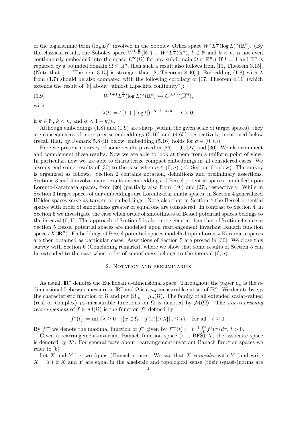of the logarithmic term  $(\log L)^\alpha$  involved in the Sobolev-Orlicz space  $W^k L^{\frac{n}{k}}(\log L)^\alpha(\mathbb{R}^n)$ . (By the classical result, the Sobolev space  $W^{k,\frac{n}{k}}(\mathbb{R}^n) \equiv W^k L^{\frac{n}{k}}(\mathbb{R}^n)$ ,  $k \in \mathbb{N}$  and  $k < n$ , is not even continuously embedded into the space  $L^{\infty}(\Omega)$  for any subdomain  $\Omega \subset \mathbb{R}^n$ .) If  $k = 1$  and  $\mathbb{R}^n$  is replaced by a bounded domain  $\Omega \subset \mathbb{R}^n$ , then such a result also follows from [11, Theorem 3.15]. (Note that [11, Theorem 3.15] is stronger than [2, Theorem 8.40].) Embedding (1.8) with  $\lambda$ from (1.7) should be also compared with the following corollary of [17, Theorem 4.11] (which extends the result of [8] about "almost Lipschitz continuity"):

(1.9) 
$$
W^{k+1}L^{\frac{n}{k}}(\log L)^{\alpha}(\mathbb{R}^n)\hookrightarrow C^{0,\lambda(\cdot)}(\overline{\mathbb{R}^n}),
$$

with

$$
\lambda(t) = t (1 + |\log t|)^{-\alpha + 1 - k/n}, \quad t > 0,
$$

if  $k \in \mathbb{N}$ ,  $k < n$ , and  $\alpha < 1 - k/n$ .

Although embeddings (1.8) and (1.9) are sharp (within the given scale of target spaces), they are consequences of more precise embeddings (5.16) and (4.65), respectively, mentioned below (recall that, by Remark 5.8 (ii) below, embedding (5.16) holds for  $\sigma \in (0, n)$ ).

Here we present a survey of some results proved in [26], [19], [27] and [30]. We also comment and complement these results. Now we are able to look at them from a uniform point of view. In particular, now we are able to characterize compact embeddings in all considered cases. We also extend some results of [30] to the case when  $\sigma \in (0, n)$  (cf. Section 6 below). The survey is organized as follows. Section 2 contains notation, definitions and preliminary assertions. Sections 3 and 4 involve main results on embeddings of Bessel potential spaces, modelled upon Lorentz-Karamata spaces, from [26] (partially also from [19]) and [27], respectively. While in Section 3 target spaces of our embeddings are Lorentz-Karamata spaces, in Section 4 generalized Hölder spaces serve as targets of embeddings. Note also that in Section 4 the Bessel potential spaces with order of smoothness greater or equal one are considered. In contrast to Section 4, in Section 5 we investigate the case when order of smoothness of Bessel potential spaces belongs to the interval  $(0, 1)$ . The approach of Section 5 is also more general than that of Section 4 since in Section 5 Bessel potential spaces are modelled upon rearrangement invariant Banach function spaces  $X(\mathbb{R}^n)$ . Embeddings of Bessel potential spaces modelled upon Lorentz-Karamata spaces are then obtained as particular cases. Assertions of Section 5 are proved in [30]. We close this survey with Section 6 (Concluding remarks), where we show that some results of Section 5 can be extended to the case when order of smoothness belongs to the interval  $(0, n)$ .

#### 2. Notation and preliminaries

As usual,  $\mathbb{R}^n$  denotes the Euclidean *n*-dimensional space. Throughout the paper  $\mu_n$  is the *n*dimensional Lebesgue measure in  $\mathbb{R}^n$  and  $\Omega$  is a  $\mu_n$ -measurable subset of  $\mathbb{R}^n$ . We denote by  $\chi_{\Omega}$ the characteristic function of  $\Omega$  and put  $|\Omega|_n = \mu_n(\Omega)$ . The family of all extended scalar-valued (real or complex)  $\mu_n$ -measurable functions on  $\Omega$  is denoted by  $\mathcal{M}(\Omega)$ . The non-increasing *rearrangement* of  $f \in \mathcal{M}(\Omega)$  is the function  $f^*$  defined by

$$
f^*(t) := \inf \left\{ \lambda \ge 0 : |\{x \in \Omega : |f(x)| > \lambda \} |_n \le t \right\} \quad \text{for all} \quad t \ge 0.
$$

By  $f^{**}$  we denote the maximal function of  $f^*$  given by  $f^{**}(t) := t^{-1} \int_0^t f^*(\tau) d\tau$ ,  $t > 0$ .

Given a rearrangement-invariant Banach function space  $(r. i. BF\ddot{S})$  X, the associate space is denoted by  $X'$ . For general facts about rearrangement-invariant Banach function spaces we refer to [6].

Let X and Y be two (quasi-)Banach spaces. We say that X coincides with Y (and write  $X = Y$ ) if X and Y are equal in the algebraic and topological sense (their (quasi-)norms are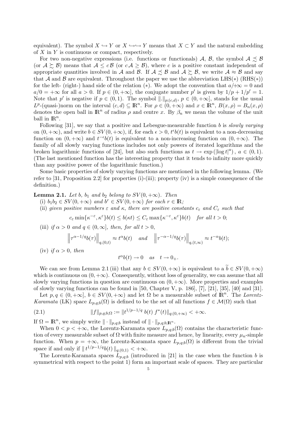equivalent). The symbol  $X \hookrightarrow Y$  or  $X \hookrightarrow Y$  means that  $X \subset Y$  and the natural embedding of  $X$  in  $Y$  is continuous or compact, respectively.

For two non-negative expressions (i.e. functions or functionals) A, B, the symbol  $A \precsim B$ (or  $A \succeq B$ ) means that  $A \leq cB$  (or  $cA \geq B$ ), where c is a positive constant independent of appropriate quantities involved in A and B. If  $A \precsim B$  and  $A \succeq B$ , we write  $A \approx B$  and say that A and B are equivalent. Throughout the paper we use the abbreviation LHS( $\ast$ ) (RHS( $\ast$ )) for the left- (right-) hand side of the relation (\*). We adopt the convention that  $a/\pm\infty = 0$  and  $a/0 = +\infty$  for all  $a > 0$ . If  $p \in (0, +\infty]$ , the conjugate number p' is given by  $1/p + 1/p' = 1$ . Note that p' is negative if  $p \in (0,1)$ . The symbol  $\|.\|_{p;(c,d)}, p \in (0,+\infty]$ , stands for the usual  $L^p$ -(quasi-)norm on the interval  $(c, d) \subseteq \mathbb{R}^n$ . For  $\rho \in (0, +\infty)$  and  $x \in \mathbb{R}^n$ ,  $B(x, \rho) = B_n(x, \rho)$ denotes the open ball in  $\mathbb{R}^n$  of radius  $\rho$  and centre x. By  $\beta_n$  we mean the volume of the unit ball in  $\mathbb{R}^n$ .

Following  $[31]$ , we say that a positive and Lebesgue-measurable function b is *slowly varying* on  $(0, +\infty)$ , and write  $b \in SV(0, +\infty)$ , if, for each  $\epsilon > 0$ ,  $t^{\epsilon}b(t)$  is equivalent to a non-decreasing function on  $(0, +\infty)$  and  $t^{-\epsilon}b(t)$  is equivalent to a non-increasing function on  $(0, +\infty)$ . The family of all slowly varying functions includes not only powers of iterated logarithms and the broken logarithmic functions of [24], but also such functions as  $t \to \exp(|\log t|^a)$ ,  $a \in (0,1)$ . (The last mentioned function has the interesting property that it tends to infinity more quickly than any positive power of the logarithmic function.)

Some basic properties of slowly varying functions are mentioned in the following lemma. (We refer to [31, Proposition 2.2] for properties (i)-(iii); property (iv) is a simple consequence of the definition.)

**Lemma 2.1.** Let b,  $b_1$  and  $b_2$  belong to  $SV(0, +\infty)$ . Then

- (i)  $b_1b_2 \in SV(0, +\infty)$  and  $b^r \in SV(0, +\infty)$  for each  $r \in \mathbb{R}$ ;
- (ii) given positive numbers  $\varepsilon$  and  $\kappa$ , there are positive constants  $c_{\varepsilon}$  and  $C_{\varepsilon}$  such that

$$
c_{\varepsilon} \min \{ \kappa^{-\varepsilon}, \kappa^{\varepsilon} \} b(t) \le b(\kappa t) \le C_{\varepsilon} \max \{ \kappa^{-\varepsilon}, \kappa^{\varepsilon} \} b(t) \quad \text{for all } t > 0;
$$

(iii) if  $\alpha > 0$  and  $q \in (0, \infty]$ , then, for all  $t > 0$ ,

$$
\left\|\tau^{\alpha-1/q}b(\tau)\right\|_{q,(0,t)}\approx t^{\alpha}b(t)\quad\text{and}\quad\left\|\tau^{-\alpha-1/q}b(\tau)\right\|_{q,(t,\infty)}\approx t^{-\alpha}b(t);
$$

(iv) if  $\alpha > 0$ , then

$$
t^{\alpha}b(t)\rightarrow 0\quad as\quad t\rightarrow 0_{+}.
$$

We can see from Lemma 2.1 (iii) that any  $b \in SV(0, +\infty)$  is equivalent to a  $\widetilde{b} \in SV(0, +\infty)$ which is continuous on  $(0, +\infty)$ . Consequently, without loss of generality, we can assume that all slowly varying functions in question are continuous on  $(0, +\infty)$ . More properties and examples of slowly varying functions can be found in [50, Chapter V, p. 186], [7], [21], [35], [40] and [31].

Let  $p, q \in (0, +\infty], b \in SV(0, +\infty)$  and let  $\Omega$  be a measurable subset of  $\mathbb{R}^n$ . The Lorentz-Karamata (LK) space  $L_{p,q,b}(\Omega)$  is defined to be the set of all functions  $f \in \mathcal{M}(\Omega)$  such that

(2.1) 
$$
||f||_{p,q;b;\Omega} := ||t^{1/p-1/q} b(t) f^*(t)||_{q;(0,+\infty)} < +\infty.
$$

If  $\Omega = \mathbb{R}^n$ , we simply write  $\|\cdot\|_{p,q;b}$  instead of  $\|\cdot\|_{p,q;b;\mathbb{R}^n}$ .

When  $0 < p < +\infty$ , the Lorentz-Karamata space  $L_{p,q,b}(\Omega)$  contains the characteristic function of every measurable subset of  $\Omega$  with finite measure and hence, by linearity, every  $\mu_n$ -simple function. When  $p = +\infty$ , the Lorentz-Karamata space  $L_{p,q,b}(\Omega)$  is different from the trivial space if and only if  $||t^{1/p-1/q}b(t)||_{q;(0,1)} < +\infty$ .

The Lorentz-Karamata spaces  $L_{p,q,b}$  (introduced in [21] in the case when the function b is symmetrical with respect to the point 1) form an important scale of spaces. They are particular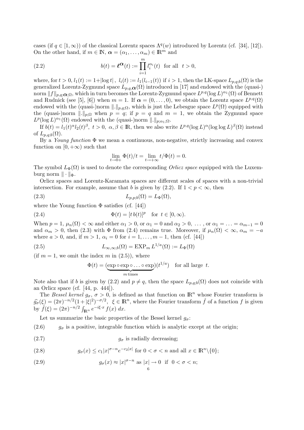cases (if  $q \in [1,\infty)$ ) of the classical Lorentz spaces  $\Lambda^q(w)$  introduced by Lorentz (cf. [34], [12]). On the other hand, if  $m \in \mathbb{N}$ ,  $\alpha = (\alpha_1, \dots, \alpha_m) \in \mathbb{R}^m$  and

(2.2) 
$$
b(t) = \ell^{\alpha}(t) := \prod_{i=1}^{m} l_i^{\alpha_i}(t) \text{ for all } t > 0,
$$

where, for  $t > 0$ ,  $l_1(t) := 1+|\log t|$ ,  $l_i(t) := l_1(l_{i-1}(t))$  if  $i > 1$ , then the LK-space  $L_{p,q,b}(\Omega)$  is the generalized Lorentz-Zygmund space  $L_{p,q,\alpha}(\Omega)$  introduced in [17] and endowed with the (quasi-) norm  $||f||_{p,q;\mathbf{Q};\Omega}$ , which in turn becomes the Lorentz-Zygmund space  $L^{p,q}(\log L)^{\alpha_1}(\Omega)$  of Bennett and Rudnick (see [5], [6]) when  $m = 1$ . If  $\alpha = (0, \ldots, 0)$ , we obtain the Lorentz space  $L^{p,q}(\Omega)$ endowed with the (quasi-)norm  $\|.\|_{p,q;\Omega}$ , which is just the Lebesgue space  $L^p(\Omega)$  equipped with the (quasi-)norm  $\|.\|_{p;\Omega}$  when  $p = q$ ; if  $p = q$  and  $m = 1$ , we obtain the Zygmund space  $L^p(\log L)^{\alpha_1}(\Omega)$  endowed with the (quasi-)norm  $\|.\|_{p;\alpha_1;\Omega}$ .

If  $b(t) = l_1(t)^\alpha l_2(t)^\beta$ ,  $t > 0$ ,  $\alpha, \beta \in \mathbb{R}$ , then we also write  $L^{p,q}(\log L)^\alpha (\log \log L)^{\beta}(\Omega)$  instead of  $L_{p,q;b}(\Omega)$ .

By a Young function  $\Phi$  we mean a continuous, non-negative, strictly increasing and convex function on  $[0, +\infty)$  such that

$$
\lim_{t \to 0+} \Phi(t)/t = \lim_{t \to +\infty} t/\Phi(t) = 0.
$$

The symbol  $L_{\Phi}(\Omega)$  is used to denote the corresponding *Orlicz space* equipped with the Luxemburg norm  $\|\cdot\|_{\Phi}$ .

Orlicz spaces and Lorentz-Karamata spaces are different scales of spaces with a non-trivial intersection. For example, assume that b is given by  $(2.2)$ . If  $1 < p < \infty$ , then

(2.3) 
$$
L_{p,p;b}(\Omega) = L_{\Phi}(\Omega),
$$

where the Young function  $\Phi$  satisfies (cf. [44])

(2.4) 
$$
\Phi(t) = [t b(t)]^p \text{ for } t \in [0, \infty).
$$

When  $p = 1$ ,  $\mu_n(\Omega) < \infty$  and either  $\alpha_1 > 0$ , or  $\alpha_1 = 0$  and  $\alpha_2 > 0$ , ..., or  $\alpha_1 = \ldots = \alpha_{m-1} = 0$ and  $\alpha_m > 0$ , then (2.3) with  $\Phi$  from (2.4) remains true. Moreover, if  $\mu_n(\Omega) < \infty$ ,  $\alpha_m = -a$ where  $a > 0$ , and, if  $m > 1$ ,  $\alpha_i = 0$  for  $i = 1, ..., m - 1$ , then (cf. [44])

(2.5) 
$$
L_{\infty,\infty;b}(\Omega) = \text{EXP}_{m} L^{1/a}(\Omega) := L_{\Phi}(\Omega)
$$

(if  $m = 1$ , we omit the index m in  $(2.5)$ ), where

$$
\Phi(t) = (\underbrace{\exp \circ \exp \circ \dots \circ \exp}_{m \text{ times}}) (t^{1/a}) \text{ for all large } t.
$$

Note also that if b is given by (2.2) and  $p \neq q$ , then the space  $L_{p,q,b}(\Omega)$  does not coincide with an Orlicz space (cf. [44, p. 444]).

The Bessel kernel  $g_{\sigma}$ ,  $\sigma > 0$ , is defined as that function on  $\mathbb{R}^n$  whose Fourier transform is  $\hat{g}_{\sigma}(\xi) = (2\pi)^{-n/2} (1+|\xi|^2)^{-\sigma/2}, \xi \in \mathbb{R}^n$ , where the Fourier transform  $\hat{f}$  of a function f is given by  $\hat{f}(\xi) = (2\pi)^{-n/2} \int_{\mathbb{R}^n} e^{-i\xi \cdot x} f(x) dx$ .

Let us summarize the basic properties of the Bessel kernel  $q_{\sigma}$ :

(2.6)  $g_{\sigma}$  is a positive, integrable function which is analytic except at the origin;

(2.7)  $q_{\sigma}$  is radially decreasing;

(2.8) 
$$
g_{\sigma}(x) \leq c_1 |x|^{\sigma - n} e^{-c_2 |x|} \text{ for } 0 < \sigma < n \text{ and all } x \in \mathbb{R}^n \setminus \{0\};
$$

(2.9) 
$$
g_{\sigma}(x) \approx |x|^{\sigma - n} \text{ as } |x| \to 0 \text{ if } 0 < \sigma < n;
$$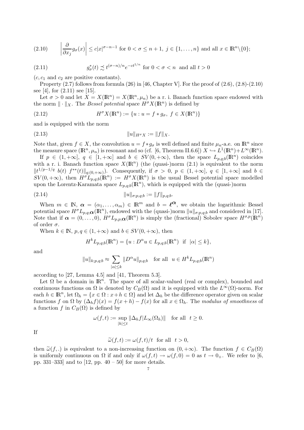(2.10) 
$$
\left| \frac{\partial}{\partial x_j} g_\sigma(x) \right| \le c |x|^{\sigma - n - 1}
$$
 for  $0 < \sigma \le n + 1$ ,  $j \in \{1, ..., n\}$  and all  $x \in \mathbb{R}^n \setminus \{0\};$ 

(2.11) 
$$
g_{\sigma}^*(t) \precsim t^{(\sigma - n)/n} e^{-ct^{1/n}} \text{ for } 0 < \sigma < n \text{ and all } t > 0
$$

 $(c, c_1 \text{ and } c_2 \text{ are positive constants}).$ 

Property  $(2.7)$  follows from formula  $(26)$  in [46, Chapter V]. For the proof of  $(2.6)$ ,  $(2.8)$ - $(2.10)$ see [4], for  $(2.11)$  see [15].

Let  $\sigma > 0$  and let  $X = X(\mathbb{R}^n) = X(\mathbb{R}^n, \mu_n)$  be a r. i. Banach function space endowed with the norm  $\|\cdot\|_X$ . The *Bessel potential* space  $H^{\sigma}X(\mathbb{R}^n)$  is defined by

(2.12) 
$$
H^{\sigma} X(\mathbb{R}^n) := \{ u : u = f * g_{\sigma}, f \in X(\mathbb{R}^n) \}
$$

and is equipped with the norm

(2.13) kukHσ<sup>X</sup> := kfk<sup>X</sup> .

Note that, given  $f \in X$ , the convolution  $u = f * g_{\sigma}$  is well defined and finite  $\mu_n$ -a.e. on  $\mathbb{R}^n$  since the measure space  $(\mathbb{R}^n, \mu_n)$  is resonant and so (cf. [6, Theorem II.6.6])  $X \hookrightarrow L^1(\mathbb{R}^n) + L^{\infty}(\mathbb{R}^n)$ .

If  $p \in (1, +\infty], q \in [1, +\infty]$  and  $b \in SV(0, +\infty)$ , then the space  $L_{p,q;b}(\mathbb{R}^n)$  coincides with a r. i. Banach function space  $X(\mathbb{R}^n)$  (the (quasi-)norm (2.1) is equivalent to the norm  $||t^{1/p-1/q} b(t) f^{**}(t)||_{q;(0,+\infty)}$ . Consequently, if  $\sigma > 0$ ,  $p \in (1,+\infty]$ ,  $q \in [1,+\infty]$  and  $b \in$  $SV(0, +\infty)$ , then  $H^{\sigma}L_{p,q;b}(\mathbb{R}^n) := H^{\sigma}X(\mathbb{R}^n)$  is the usual Bessel potential space modelled upon the Lorentz-Karamata space  $L_{p,q;b}(\mathbb{R}^n)$ , which is equipped with the (quasi-)norm

(2.14) 
$$
||u||_{\sigma;p,q;b} := ||f||_{p,q;b}.
$$

When  $m \in \mathbb{N}$ ,  $\alpha = (\alpha_1, \ldots, \alpha_m) \in \mathbb{R}^m$  and  $b = \ell^{\alpha}$ , we obtain the logarithmic Bessel potential space  $H^{\sigma}L_{p,q;\{\alpha}}(\mathbb{R}^n)$ , endowed with the (quasi-)norm  $||u||_{\sigma;p,q;b}$  and considered in [17]. Note that if  $\alpha = (0, \ldots, 0), H^{\sigma} L_{p,p;\alpha}(\mathbb{R}^n)$  is simply the (fractional) Sobolev space  $H^{\sigma,p}(\mathbb{R}^n)$ of order  $\sigma$ .

When  $k \in \mathbb{N}$ ,  $p, q \in (1, +\infty)$  and  $b \in SV(0, +\infty)$ , then

$$
H^k L_{p,q;b}(\mathbb{R}^n) = \{ u : D^{\alpha} u \in L_{p,q;b}(\mathbb{R}^n) \text{ if } |\alpha| \le k \},
$$

and

$$
||u||_{k;p,q;b} \approx \sum_{|\alpha| \le k} ||D^{\alpha}u||_{p,q;b} \text{ for all } u \in H^k L_{p,q;b}(\mathbb{R}^n)
$$

according to [27, Lemma 4.5] and [41, Theorem 5.3].

Let  $\Omega$  be a domain in  $\mathbb{R}^n$ . The space of all scalar-valued (real or complex), bounded and continuous functions on  $\Omega$  is denoted by  $C_B(\Omega)$  and it is equipped with the  $L^{\infty}(\Omega)$ -norm. For each  $h \in \mathbb{R}^n$ , let  $\Omega_h = \{x \in \Omega : x + h \in \Omega\}$  and let  $\Delta_h$  be the difference operator given on scalar functions f on  $\Omega$  by  $(\Delta_h f)(x) = f(x+h) - f(x)$  for all  $x \in \Omega_h$ . The modulus of smoothness of a function f in  $C_B(\Omega)$  is defined by

$$
\omega(f, t) := \sup_{|h| \le t} \|\Delta_h f| L_\infty(\Omega_h)\| \quad \text{for all} \ \ t \ge 0.
$$

If

$$
\widetilde{\omega}(f,t) := \omega(f,t)/t \text{ for all } t > 0,
$$

then  $\tilde{\omega}(f,.)$  is equivalent to a non-increasing function on  $(0, +\infty)$ . The function  $f \in C_B(\Omega)$ is uniformly continuous on  $\Omega$  if and only if  $\omega(f, t) \to \omega(f, 0) = 0$  as  $t \to 0_+$ . We refer to [6, pp. 331–333] and to  $[12, pp. 40 - 50]$  for more details.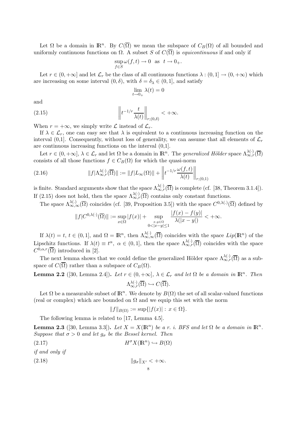Let  $\Omega$  be a domain in  $\mathbb{R}^n$ . By  $C(\overline{\Omega})$  we mean the subspace of  $C_B(\Omega)$  of all bounded and uniformly continuous functions on  $\Omega$ . A subset S of  $C(\overline{\Omega})$  is *equicontinuous* if and only if

$$
\sup_{f\in S}\omega(f,t)\to 0\ \ \text{as}\ \ t\to 0_+.
$$

Let  $r \in (0, +\infty]$  and let  $\mathcal{L}_r$  be the class of all continuous functions  $\lambda : (0, 1] \to (0, +\infty)$  which are increasing on some interval  $(0, \delta)$ , with  $\delta = \delta_{\lambda} \in (0, 1]$ , and satisfy

$$
\lim_{t \to 0_+} \lambda(t) = 0
$$

and

(2.15) 
$$
\left\|t^{-1/r}\frac{t}{\lambda(t)}\right\|_{r;(0,\delta)} < +\infty.
$$

When  $r = +\infty$ , we simply write  $\mathcal L$  instead of  $\mathcal L_r$ .

If  $\lambda \in \mathcal{L}_r$ , one can easy see that  $\lambda$  is equivalent to a continuous increasing function on the interval (0,1). Consequently, without loss of generality, we can assume that all elements of  $\mathcal{L}_r$ are continuous increasing functions on the interval (0,1].

Let  $r \in (0, +\infty]$ ,  $\lambda \in \mathcal{L}_r$  and let  $\Omega$  be a domain in  $\mathbb{R}^n$ . The *generalized Hölder* space  $\Lambda_{\infty,r}^{\lambda(\cdot)}(\overline{\Omega})$ consists of all those functions  $f \in C_B(\Omega)$  for which the quasi-norm

(2.16) 
$$
||f|\Lambda_{\infty,r}^{\lambda(\cdot)}(\overline{\Omega})||:=||f|L_{\infty}(\Omega)||+\left||t^{-1/r}\frac{\omega(f,t)}{\lambda(t)}\right||_{r;(0,1)}
$$

is finite. Standard arguments show that the space  $\Lambda_{\infty,r}^{\lambda(\cdot)}(\overline{\Omega})$  is complete (cf. [38, Theorem 3.1.4]). If (2.15) does not hold, then the space  $\Lambda_{\infty,r}^{\lambda(\cdot)}(\overline{\Omega})$  contains only constant functions.

The space  $\Lambda_{\infty,\infty}^{\lambda(.)}(\overline{\Omega})$  coincides (cf. [39, Proposition 3.5]) with the space  $C^{0,\lambda(.)}(\overline{\Omega})$  defined by

$$
||f|C^{0,\lambda(\cdot)}(\overline{\Omega})||:=\sup_{x\in\Omega}|f(x)|+\sup_{\substack{x,y\in\Omega\\0<|x-y|\leq 1}}\frac{|f(x)-f(y)|}{\lambda(|x-y|)}<+\infty.
$$

If  $\lambda(t) = t$ ,  $t \in (0,1]$ , and  $\Omega = \mathbb{R}^n$ , then  $\Lambda_{\infty,\infty}^{\lambda(\cdot)}(\overline{\Omega})$  coincides with the space  $Lip(\mathbb{R}^n)$  of the Lipschitz functions. If  $\lambda(t) \equiv t^{\alpha}$ ,  $\alpha \in (0,1]$ , then the space  $\Lambda_{\infty,r}^{\lambda(\cdot)}(\overline{\Omega})$  coincides with the space  $C^{0,\alpha,r}(\overline{\Omega})$  introduced in [2].

The next lemma shows that we could define the generalized Hölder space  $\Lambda_{\infty,r}^{\lambda(\cdot)}(\overline{\Omega})$  as a subspace of  $C(\overline{\Omega})$  rather than a subspace of  $C_B(\Omega)$ .

**Lemma 2.2** ([30, Lemma 2.4]). Let  $r \in (0, +\infty]$ ,  $\lambda \in \mathcal{L}_r$  and let  $\Omega$  be a domain in  $\mathbb{R}^n$ . Then  $\Lambda_{\infty,r}^{\lambda(\cdot)}(\overline{\Omega}) \hookrightarrow C(\overline{\Omega}).$ 

Let  $\Omega$  be a measurable subset of  $\mathbb{R}^n$ . We denote by  $B(\Omega)$  the set of all scalar-valued functions (real or complex) which are bounded on  $\Omega$  and we equip this set with the norm

$$
||f||_{B(\Omega)} := \sup\{|f(x)| : x \in \Omega\}.
$$

The following lemma is related to [17, Lemma 4.5].

**Lemma 2.3** ([30, Lemma 3.3]). Let  $X = X(\mathbb{R}^n)$  be a r. i. BFS and let  $\Omega$  be a domain in  $\mathbb{R}^n$ . Suppose that  $\sigma > 0$  and let  $g_{\sigma}$  be the Bessel kernel. Then

$$
(2.17)\t\t\t H^{\sigma}X(\mathbb{R}^n)\hookrightarrow B(\Omega)
$$

if and only if

$$
(2.18) \t\t\t \|g_{\sigma}\|_{X'} < +\infty.
$$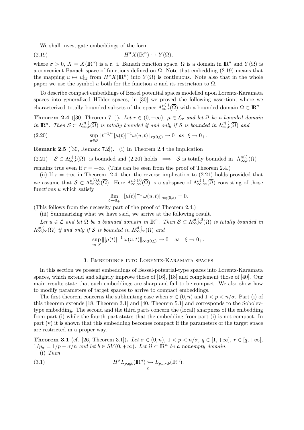We shall investigate embeddings of the form

$$
(2.19) \t\t H^{\sigma} X(\mathbb{R}^n) \hookrightarrow Y(\Omega),
$$

where  $\sigma > 0$ ,  $X = X(\mathbb{R}^n)$  is a r. i. Banach function space,  $\Omega$  is a domain in  $\mathbb{R}^n$  and  $Y(\Omega)$  is a convenient Banach space of functions defined on  $\Omega$ . Note that embedding (2.19) means that the mapping  $u \mapsto u|_{\Omega}$  from  $H^{\sigma}X(\mathbb{R}^n)$  into  $Y(\Omega)$  is continuous. Note also that in the whole paper we use the symbol u both for the function u and its restriction to  $\Omega$ .

To describe compact embeddings of Bessel potential spaces modelled upon Lorentz-Karamata spaces into generalized Hölder spaces, in [30] we proved the following assertion, where we characterized totally bounded subsets of the space  $\Lambda^{\mu(\cdot)}_{\infty,r}(\overline{\Omega})$  with a bounded domain  $\Omega \subset \mathbb{R}^n$ .

**Theorem 2.4** ([30, Theorem 7.1]). Let  $r \in (0, +\infty)$ ,  $\mu \in \mathcal{L}_r$  and let  $\Omega$  be a bounded domain in  $\mathbb{R}^n$ . Then  $S \subset \Lambda_{\infty,r}^{\mu(\cdot)}(\overline{\Omega})$  is totally bounded if and only if S is bounded in  $\Lambda_{\infty,r}^{\mu(\cdot)}(\overline{\Omega})$  and

(2.20) 
$$
\sup_{u \in S} ||t^{-1/r}[\mu(t)]^{-1} \omega(u,t)||_{r;(0,\xi)} \to 0 \text{ as } \xi \to 0_+.
$$

Remark 2.5 ([30, Remark 7.2]). (i) In Theorem 2.4 the implication

 $(2.21)$   $S \subset \Lambda_{\infty,r}^{\mu(\cdot)}(\overline{\Omega})$  is bounded and  $(2.20)$  holds  $\implies$  S is totally bounded in  $\Lambda_{\infty,r}^{\mu(\cdot)}(\overline{\Omega})$ 

remains true even if  $r = +\infty$ . (This can be seen from the proof of Theorem 2.4.)

(ii) If  $r = +\infty$  in Theorem 2.4, then the reverse implication to (2.21) holds provided that we assume that  $S \subset \Lambda_{\infty,\infty}^{\mu(\cdot),0}(\overline{\Omega})$ . Here  $\Lambda_{\infty,\infty}^{\mu(\cdot),0}(\overline{\Omega})$  is a subspace of  $\Lambda_{\infty,\infty}^{\mu(\cdot)}(\overline{\Omega})$  consisting of those functions  $u$  which satisfy

$$
\lim_{\delta \to 0_+} \|[\mu(t)]^{-1} \omega(u,t)\|_{\infty;(0,\delta)} = 0.
$$

(This follows from the necessity part of the proof of Theorem 2.4.)

(iii) Summarizing what we have said, we arrive at the following result.

Let  $u \in \mathcal{L}$  and let  $\Omega$  be a bounded domain in  $\mathbb{R}^n$ . Then  $\mathcal{S} \subset \Lambda_{\infty,\infty}^{\mu(\cdot),0}(\overline{\Omega})$  is totally bounded in  $\Lambda_{\infty,\infty}^{\mu(\cdot)}(\overline{\Omega})$  if and only if S is bounded in  $\Lambda_{\infty,\infty}^{\mu(\cdot)}(\overline{\Omega})$  and

$$
\sup_{u\in\mathcal{S}}\|[\mu(t)]^{-1}\,\omega(u,t)\|_{\infty;(0,\xi)}\to 0 \quad as \quad \xi\to 0_+.
$$

#### 3. Embeddings into Lorentz-Karamata spaces

In this section we present embeddings of Bessel-potential-type spaces into Lorentz-Karamata spaces, which extend and slightly improve those of [16], [18] and complement those of [40]. Our main results state that such embeddings are sharp and fail to be compact. We also show how to modify parameters of target spaces to arrive to compact embeddings.

The first theorem concerns the sublimiting case when  $\sigma \in (0, n)$  and  $1 < p < n/\sigma$ . Part (i) of this theorem extends [18, Theorem 3.1] and [40, Theorem 5.1] and corresponds to the Sobolevtype embedding. The second and the third parts concern the (local) sharpness of the embedding from part (i) while the fourth part states that the embedding from part (i) is not compact. In part (v) it is shown that this embedding becomes compact if the parameters of the target space are restricted in a proper way.

**Theorem 3.1** (cf. [26, Theorem 3.1]). Let  $\sigma \in (0, n)$ ,  $1 < p < n/\sigma$ ,  $q \in [1, +\infty]$ ,  $r \in [q, +\infty]$ ,  $1/p_{\sigma} = 1/p - \sigma/n$  and let  $b \in SV(0, +\infty)$ . Let  $\Omega \subset \mathbb{R}^n$  be a nonempty domain. (i) Then

(3.1) 
$$
H^{\sigma} L_{p,q;b}(\mathbb{R}^n) \hookrightarrow L_{p_{\sigma},r;b}(\mathbb{R}^n).
$$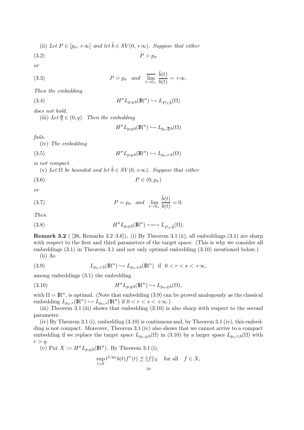(ii) Let 
$$
P \in [p_{\sigma}, +\infty]
$$
 and let  $\tilde{b} \in SV(0, +\infty)$ . Suppose that either

$$
(3.2) \t\t P > p_{\sigma}
$$

or

(3.3) 
$$
P = p_{\sigma} \quad and \quad \overline{\lim}_{t \to 0+} \frac{\tilde{b}(t)}{b(t)} = +\infty.
$$

Then the embedding

(3.4) 
$$
H^{\sigma} L_{p,q;b}(\mathbb{R}^n) \hookrightarrow L_{P,r;\tilde{b}}(\Omega)
$$

does not hold.

(iii) Let  $\overline{q} \in (0, q)$ . Then the embedding

$$
H^{\sigma} L_{p,q;b}(\mathbb{R}^n) \hookrightarrow L_{p_{\sigma},\overline{q};b}(\Omega)
$$

fails.

(iv) The embedding

(3.5) 
$$
H^{\sigma} L_{p,q;b}(\mathbb{R}^n) \hookrightarrow L_{p_{\sigma},r;b}(\Omega)
$$

is not compact.

(v) Let  $\Omega$  be bounded and let  $\tilde{b} \in SV(0, +\infty)$ . Suppose that either

$$
(3.6) \t\t P \in (0, p_{\sigma})
$$

or

(3.7) 
$$
P = p_{\sigma} \quad and \quad \lim_{t \to 0+} \frac{\tilde{b}(t)}{b(t)} = 0.
$$

Then

(3.8) 
$$
H^{\sigma} L_{p,q;b}(\mathbb{R}^n) \hookrightarrow \hookrightarrow L_{P,r;\tilde{b}}(\Omega).
$$

**Remark 3.2** ( [26, Remarks 3.2–3.6]). (i) By Theorem 3.1 (ii), all embeddings (3.1) are sharp with respect to the first and third parameters of the target space. (This is why we consider all embeddings (3.1) in Theorem 3.1 and not only optimal embedding (3.10) mentioned below.) (ii) As

(3.9) 
$$
L_{p_{\sigma}, r, b}(\mathbb{R}^n) \hookrightarrow L_{p_{\sigma}, s, b}(\mathbb{R}^n) \text{ if } 0 < r < s < +\infty,
$$

among embeddings (3.1) the embedding

(3.10) 
$$
H^{\sigma} L_{p,q;b}(\mathbb{R}^n) \hookrightarrow L_{p_{\sigma},q;b}(\Omega),
$$

with  $\Omega = \mathbb{R}^n$ , is optimal. (Note that embedding (3.9) can be proved analogously as the classical embedding  $L_{p_{\sigma},r}(\mathbb{R}^n) \hookrightarrow L_{p_{\sigma},s}(\mathbb{R}^n)$  if  $0 < r < s < +\infty$ .)

(iii) Theorem 3.1 (iii) shows that embedding (3.10) is also sharp with respect to the second parameter.

(iv) By Theorem 3.1 (i), embedding (3.10) is continuous and, by Theorem 3.1 (iv), this embedding is not compact. Moreover, Theorem 3.1 (iv) also shows that we cannot arrive to a compact embedding if we replace the target space  $L_{p_{\sigma},q,b}(\Omega)$  in (3.10) by a larger space  $L_{p_{\sigma},r,b}(\Omega)$  with  $r > q$ .

(v) Put  $X := H^{\sigma} L_{p,q;b}(\mathbb{R}^n)$ . By Theorem 3.1 (i),

$$
\sup_{t>0} t^{1/p_{\sigma}} b(t) f^*(t) \precsim ||f||_X \quad \text{for all} \quad f \in X,
$$
  
10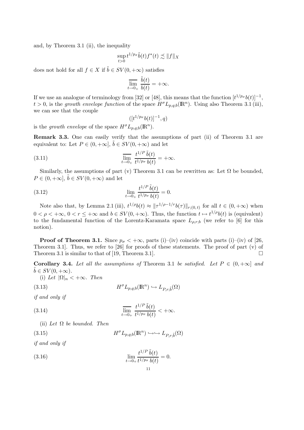and, by Theorem 3.1 (ii), the inequality

$$
\sup_{t>0} t^{1/p_{\sigma}}\tilde{b}(t)f^*(t) \precsim ||f||_X
$$

does not hold for all  $f \in X$  if  $\tilde{b} \in SV(0, +\infty)$  satisfies

$$
\overline{\lim_{t \to 0_+} \frac{\tilde{b}(t)}{b(t)}} = +\infty.
$$

If we use an analogue of terminology from [32] or [48], this means that the function  $[t^{1/p_{\sigma}}b(t)]^{-1}$ ,  $t > 0$ , is the growth envelope function of the space  $H^{\sigma} L_{p,q;b}(\mathbb{R}^n)$ . Using also Theorem 3.1 (iii), we can see that the couple

$$
([t^{1/p_\sigma}b(t)]^{-1},q)
$$

is the growth envelope of the space  $H^{\sigma}L_{p,q;b}(\mathbb{R}^n)$ .

Remark 3.3. One can easily verify that the assumptions of part (ii) of Theorem 3.1 are equivalent to: Let  $P \in (0, +\infty], \tilde{b} \in SV(0, +\infty)$  and let

(3.11) 
$$
\overline{\lim_{t \to 0_+} \frac{t^{1/P} \tilde{b}(t)}{t^{1/p \sigma} b(t)}} = +\infty.
$$

Similarly, the assumptions of part (v) Theorem 3.1 can be rewritten as: Let  $\Omega$  be bounded,  $P \in (0, +\infty], \, \tilde{b} \in SV(0, +\infty)$  and let

(3.12) 
$$
\lim_{t \to 0+} \frac{t^{1/P} \tilde{b}(t)}{t^{1/p_{\sigma}} b(t)} = 0.
$$

Note also that, by Lemma 2.1 (iii),  $t^{1/\rho}b(t) \approx ||\tau^{1/\rho-1/r}b(\tau)||_{r;(0,t)}$  for all  $t \in (0,+\infty)$  when  $0 < \rho < +\infty$ ,  $0 < r \leq +\infty$  and  $b \in SV(0, +\infty)$ . Thus, the function  $t \mapsto t^{1/\rho}b(t)$  is (equivalent) to the fundamental function of the Lorentz-Karamata space  $L_{\rho,r,b}$  (we refer to [6] for this notion).

**Proof of Theorem 3.1.** Since  $p_{\sigma} < +\infty$ , parts (i)–(iv) coincide with parts (i)–(iv) of [26, Theorem 3.1. Thus, we refer to [26] for proofs of these statements. The proof of part (v) of Theorem 3.1 is similar to that of [19, Theorem 3.1].

Corollary 3.4. Let all the assumptions of Theorem 3.1 be satisfied. Let  $P \in (0, +\infty]$  and  $b \in SV(0, +\infty).$ 

(i) Let  $|\Omega|_n < +\infty$ . Then

(3.13)  $H^{\sigma}L_{p,q;b}(\mathbb{R}^n)$ 

$$
H^{\sigma}L_{p,q;b}(\mathbb{R}^n)\hookrightarrow L_{P,r;\tilde{b}}(\Omega)
$$

if and only if

(3.14) 
$$
\overline{\lim_{t \to 0_+} \frac{t^{1/P} \tilde{b}(t)}{t^{1/p_\sigma} b(t)}} < +\infty.
$$

(ii) Let  $\Omega$  be bounded. Then

(3.15) 
$$
H^{\sigma} L_{p,q;b}(\mathbb{R}^n) \hookrightarrow \hookrightarrow L_{P,r;\tilde{b}}(\Omega)
$$

if and only if

(3.16) 
$$
\lim_{t \to 0+} \frac{t^{1/P} \tilde{b}(t)}{t^{1/p_{\sigma}} b(t)} = 0.
$$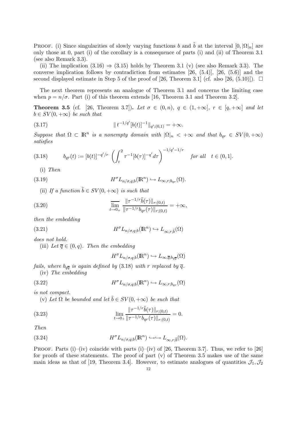PROOF. (i) Since singularities of slowly varying functions b and  $\tilde{b}$  at the interval  $[0, |\Omega|_n]$  are only those at 0, part (i) of the corollary is a consequence of parts (i) and (ii) of Theorem 3.1 (see also Remark 3.3).

(ii) The implication  $(3.16) \Rightarrow (3.15)$  holds by Theorem 3.1 (v) (see also Remark 3.3). The converse implication follows by contradiction from estimates [26, (5.4)], [26, (5.6)] and the second displayed estimate in Step 5 of the proof of [26, Theorem 3.1] (cf. also [26, (5.10)]).  $\Box$ 

The next theorem represents an analogue of Theorem 3.1 and concerns the limiting case when  $p = n/\sigma$ . Part (i) of this theorem extends [16, Theorem 3.1 and Theorem 3.2].

**Theorem 3.5** (cf. [26, Theorem 3.7]). Let  $\sigma \in (0, n)$ ,  $q \in (1, +\infty]$ ,  $r \in [q, +\infty]$  and let  $b \in SV(0, +\infty)$  be such that

(3.17) 
$$
\|t^{-1/q'}[b(t)]^{-1}\|_{q';(0,1)} = +\infty.
$$

Suppose that  $\Omega \subset \mathbb{R}^n$  is a nonempty domain with  $|\Omega|_n < +\infty$  and that  $b_{qr} \in SV(0, +\infty)$ satisfies

(3.18) 
$$
b_{qr}(t) := [b(t)]^{-q'/r} \left( \int_t^2 \tau^{-1} [b(\tau)]^{-q'} d\tau \right)^{-1/q'-1/r} \quad \text{for all} \quad t \in (0,1].
$$

(i) Then

(3.19) 
$$
H^{\sigma} L_{n/\sigma,q;b}(\mathbb{R}^n) \hookrightarrow L_{\infty,r;b_{qr}}(\Omega).
$$

(ii) If a function  $\tilde{b} \in SV(0, +\infty)$  is such that

(3.20) 
$$
\overline{\lim_{t \to 0_{+}} \frac{\|\tau^{-1/r}\tilde{b}(\tau)\|_{r;(0,t)}}{\|\tau^{-1/r}b_{qr}(\tau)\|_{r;(0,t)}} = +\infty,
$$

then the embedding

 $(3.21)$ 

$$
H^{\sigma} L_{n/\sigma,q;b}(\mathrm{I\!R}^n) \hookrightarrow L_{\infty,r;\tilde{b}}(\Omega)
$$

does not hold.

(iii) Let  $\overline{q} \in (0, q)$ . Then the embedding

$$
H^{\sigma}L_{n/\sigma,q;b}(\mathbb{R}^n) \hookrightarrow L_{\infty,\overline{q};b_{q\overline{q}}}(\Omega)
$$

fails, where  $b_{q\bar{q}}$  is again defined by (3.18) with r replaced by  $\bar{q}$ . (iv) The embedding

(3.22) 
$$
H^{\sigma} L_{n/\sigma,q;b}(\mathbb{R}^n) \hookrightarrow L_{\infty,r;b_{qr}}(\Omega)
$$

is not compact.

(v) Let  $\Omega$  be bounded and let  $\tilde{b} \in SV(0, +\infty)$  be such that

(3.23) 
$$
\lim_{t \to 0+} \frac{\|\tau^{-1/r}\tilde{b}(\tau)\|_{r;(0,t)}}{\|\tau^{-1/r}b_{qr}(\tau)\|_{r;(0,t)}} = 0.
$$

Then

(3.24) 
$$
H^{\sigma} L_{n/\sigma,q;b}(\mathbb{R}^n) \hookrightarrow \hookrightarrow L_{\infty,r;\tilde{b}}(\Omega).
$$

PROOF. Parts (i)–(iv) coincide with parts (i)–(iv) of [26, Theorem 3.7]. Thus, we refer to [26] for proofs of these statements. The proof of part (v) of Theorem 3.5 makes use of the same main ideas as that of [19, Theorem 3.4]. However, to estimate analogues of quantities  $\mathcal{J}_1,\mathcal{J}_2$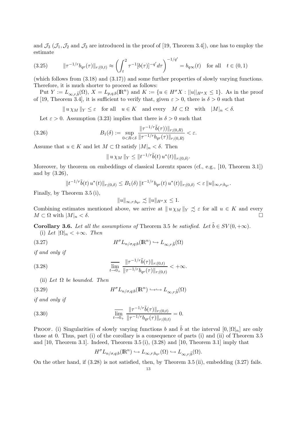and  $\mathcal{J}_3$  ( $\mathcal{J}_1$ ,  $\mathcal{J}_2$  and  $\mathcal{J}_3$  are introduced in the proof of [19, Theorem 3.4]), one has to employ the estimate

$$
(3.25) \t ||\tau^{-1/r} b_{qr}(\tau)||_{r;(0,t)} \approx \left(\int_t^2 \tau^{-1} [b(\tau)]^{-q'} d\tau\right)^{-1/q'} = b_{q\infty}(t) \text{ for all } t \in (0,1)
$$

(which follows from (3.18) and (3.17)) and some further properties of slowly varying functions. Therefore, it is much shorter to proceed as follows:

Put  $Y := L_{\infty,r,\tilde{b}}(\Omega), X = L_{p,q,b}(\mathbb{R}^n)$  and  $K := \{u \in H^{\sigma}X : ||u||_{H^{\sigma}X} \leq 1\}.$  As in the proof of [19, Theorem 3.4], it is sufficient to verify that, given  $\varepsilon > 0$ , there is  $\delta > 0$  such that

 $\|u \chi_M\|_Y \leq \varepsilon$  for all  $u \in K$  and every  $M \subset \Omega$  with  $|M|_n < \delta$ .

Let  $\varepsilon > 0$ . Assumption (3.23) implies that there is  $\delta > 0$  such that

(3.26) 
$$
B_1(\delta) := \sup_{0 < R < \delta} \frac{\|\tau^{-1/r}\tilde{b}(\tau)\|_{r;(0,R)}}{\|\tau^{-1/r}b_{qr}(\tau)\|_{r;(0,R)}} < \varepsilon.
$$

Assume that  $u \in K$  and let  $M \subset \Omega$  satisfy  $|M|_n < \delta$ . Then

$$
|| u \chi_M ||_Y \leq ||t^{-1/r} \tilde{b}(t) u^*(t)||_{r;(0,\delta)}.
$$

Moreover, by theorem on embeddings of classical Lorentz spaces (cf., e.g., [10, Theorem 3.1]) and by (3.26),

$$
||t^{-1/r}\tilde{b}(t) u^*(t)||_{r;(0,\delta)} \leq B_1(\delta) ||t^{-1/r} b_{qr}(t) u^*(t)||_{r;(0,\delta)} < \varepsilon ||u||_{\infty,r;b_{qr}}.
$$

Finally, by Theorem 3.5 (i),

$$
||u||_{\infty,r;b_{qr}} \precsim ||u||_{H^{\sigma}X} \leq 1.
$$

Combining estimates mentioned above, we arrive at  $||u \chi_M||_Y \precsim \varepsilon$  for all  $u \in K$  and every  $M \subset \Omega$  with  $|M|_n < \delta$ .

Corollary 3.6. Let all the assumptions of Theorem 3.5 be satisfied. Let  $\tilde{b} \in SV(0, +\infty)$ . (i) Let  $|\Omega|_n < +\infty$ . Then

(3.27)  $H^{\sigma} L_{n/\sigma,q;b}(\mathbb{R}^n) \hookrightarrow L_{\infty,r;\tilde{b}}(\Omega)$ 

if and only if

(3.28) 
$$
\overline{\lim_{t \to 0_+} \frac{\|\tau^{-1/r}\tilde{b}(\tau)\|_{r;(0,t)}}{\|\tau^{-1/r}b_{qr}(\tau)\|_{r;(0,t)}} < +\infty.
$$

(ii) Let  $\Omega$  be bounded. Then

(3.29) 
$$
H^{\sigma} L_{n/\sigma,q;b}(\mathbb{R}^n) \hookrightarrow \hookrightarrow L_{\infty,r;\tilde{b}}(\Omega)
$$

if and only if

(3.30) 
$$
\overline{\lim_{t \to 0_+} \frac{\|\tau^{-1/r}\tilde{b}(\tau)\|_{r;(0,t)}}{\|\tau^{-1/r}b_{qr}(\tau)\|_{r;(0,t)}} = 0.
$$

PROOF. (i) Singularities of slowly varying functions b and  $\tilde{b}$  at the interval  $[0, |\Omega|_n]$  are only those at 0. Thus, part (i) of the corollary is a consequence of parts (i) and (ii) of Theorem 3.5 and  $[10,$  Theorem 3.1.]. Indeed, Theorem 3.5 (i),  $(3.28)$  and  $[10,$  Theorem 3.1.] imply that

$$
H^{\sigma} L_{n/\sigma,q;b}(\mathbb{R}^n) \hookrightarrow L_{\infty,r;b_{qr}}(\Omega) \hookrightarrow L_{\infty,r;\tilde{b}}(\Omega).
$$

On the other hand, if (3.28) is not satisfied, then, by Theorem 3.5 (ii), embedding (3.27) fails.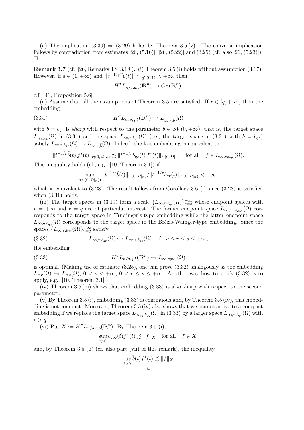(ii) The implication  $(3.30) \Rightarrow (3.29)$  holds by Theorem 3.5 (v). The converse implication follows by contradiction from estimates  $[26, (5.16)]$ ,  $[26, (5.22)]$  and  $(3.25)$  (cf. also  $[26, (5.23)]$ ).  $\Box$ 

Remark 3.7 (cf. [26, Remarks 3.8–3.18]). (i) Theorem 3.5 (i) holds without assumption (3.17). However, if  $q \in (1, +\infty)$  and  $||t^{-1/q'}[b(t)]^{-1}||_{q'(0,1)} < +\infty$ , then

$$
H^{\sigma}L_{n/\sigma,q;b}(\mathbb{R}^n)\hookrightarrow C_B(\mathbb{R}^n),
$$

c.f. [41, Proposition 5.6].

(ii) Assume that all the assumptions of Theorem 3.5 are satisfied. If  $r \in [q, +\infty]$ , then the embedding

(3.31) 
$$
H^{\sigma} L_{n/\sigma,q;b}(\mathbb{R}^n) \hookrightarrow L_{\infty,r;\tilde{b}}(\Omega)
$$

with  $\tilde{b} = b_{qr}$  is sharp with respect to the parameter  $\tilde{b} \in SV(0, +\infty)$ , that is, the target space  $L_{\infty,r,\tilde{b}}(\Omega)$  in (3.31) and the space  $L_{\infty,r;b_{qr}}(\Omega)$  (i.e., the target space in (3.31) with  $\tilde{b} = b_{qr}$ ) satisfy  $L_{\infty,r;b_{qr}}(\Omega) \hookrightarrow L_{\infty,r;\tilde{b}}(\Omega)$ . Indeed, the last embedding is equivalent to

$$
||t^{-1/r}\tilde{b}(t) f^*(t)||_{r;(0,|\Omega|_n)} \precsim ||t^{-1/r}b_{qr}(t) f^*(t)||_{r;(0,|\Omega|_n)} \text{ for all } f \in L_{\infty,r;b_{qr}}(\Omega).
$$

This inequality holds (cf., e.g., [10, Theorem 3.1]) if

$$
\sup_{x\in(0,|\Omega|_n)}\|t^{-1/r}\tilde{b}(t)\|_{r;(0,|\Omega|_n)}/\|t^{-1/r}b_{qr}(t)\|_{r;(0,|\Omega|_n)}<+\infty,
$$

which is equivalent to  $(3.28)$ . The result follows from Corollary 3.6 (i) since  $(3.28)$  is satisfied when  $(3.31)$  holds.

(iii) The target spaces in (3.19) form a scale  $\{L_{\infty,r;b_{qr}}(\Omega)\}_{r=q}^{+\infty}$  whose endpoint spaces with  $r = +\infty$  and  $r = q$  are of particular interest. The former endpoint space  $L_{\infty,\infty;b_{q\infty}}(\Omega)$  corresponds to the target space in Trudinger's-type embedding while the latter endpoint space  $L_{\infty,q; b_{qq}}(\Omega)$  corresponds to the target space in the Brézis-Wainger-type embedding. Since the spaces  $\{L_{\infty,r;b_{qr}}(\Omega)\}_{r=q}^{+\infty}$  satisfy

(3.32) 
$$
L_{\infty,r;b_{qr}}(\Omega) \hookrightarrow L_{\infty,s;b_{qs}}(\Omega) \quad \text{if} \quad q \leq r \leq s \leq +\infty,
$$

the embedding

(3.33) 
$$
H^{\sigma} L_{n/\sigma,q;b}(\mathbb{R}^n) \hookrightarrow L_{\infty,q;b_{qq}}(\Omega)
$$

is optimal. (Making use of estimate (3.25), one can prove (3.32) analogously as the embedding  $L_{p,r}(\Omega) \hookrightarrow L_{p,s}(\Omega)$ ,  $0 < p < +\infty$ ,  $0 < r \le s \le +\infty$ . Another way how to verify (3.32) is to apply, e.g., [10, Theorem 3.1].)

(iv) Theorem 3.5 (iii) shows that embedding (3.33) is also sharp with respect to the second parameter.

(v) By Theorem 3.5 (i), embedding (3.33) is continuous and, by Theorem 3.5 (iv), this embedding is not compact. Moreover, Theorem 3.5 (iv) also shows that we cannot arrive to a compact embedding if we replace the target space  $L_{\infty,q;b_{qq}}(\Omega)$  in (3.33) by a larger space  $L_{\infty,r;b_{qr}}(\Omega)$  with  $r > q$ .

(vi) Put  $X := H^{\sigma} L_{n/\sigma,q;b}(\mathbb{R}^n)$ . By Theorem 3.5 (i),

$$
\sup_{t>0} b_{q\infty}(t) f^*(t) \precsim ||f||_X \quad \text{for all} \quad f \in X,
$$

and, by Theorem 3.5 (ii) (cf. also part (vii) of this remark), the inequality

$$
\sup_{t>0} \tilde{b}(t) f^*(t) \precsim \|f\|_X
$$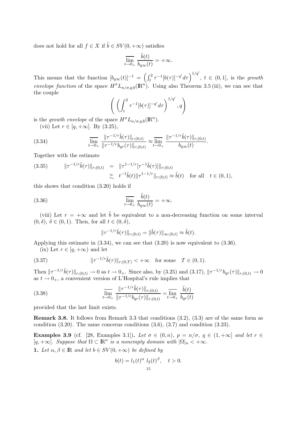does not hold for all  $f \in X$  if  $\tilde{b} \in SV(0, +\infty)$  satisfies

$$
\overline{\lim_{t \to 0_+} \frac{\tilde{b}(t)}{b_{q\infty}(t)}} = +\infty.
$$

This means that the function  $[b_{q\infty}(t)]^{-1} = \left(\int_t^2 \tau^{-1} [b(\tau)]^{-q'} d\tau\right)^{1/q'}$ ,  $t \in (0,1]$ , is the growth envelope function of the space  $H^{\sigma}L_{n/\sigma,q;b}(\mathbb{R}^n)$ . Using also Theorem 3.5 (iii), we can see that the couple

$$
\left(\left(\int_t^2 \tau^{-1}[b(\tau)]^{-q'} d\tau\right)^{1/q'}, q\right)
$$

is the growth envelope of the space  $H^{\sigma}L_{n/\sigma,q;b}(\mathbb{R}^n)$ .

(vii) Let  $r \in [q, +\infty]$ . By  $(3.25)$ ,

(3.34) 
$$
\overline{\lim_{t \to 0+} \frac{\|\tau^{-1/r}\tilde{b}(\tau)\|_{r;(0,t)}}{\|\tau^{-1/r}b_{qr}(\tau)\|_{r;(0,t)}} \approx \overline{\lim_{t \to 0+} \frac{\|\tau^{-1/r}\tilde{b}(\tau)\|_{r;(0,t)}}{b_{q\infty}(t)}}.
$$

Together with the estimate

(3.35) 
$$
\|\tau^{-1/r}\tilde{b}(\tau)\|_{r;(0,t)} = \|\tau^{1-1/r}[\tau^{-1}\tilde{b}(\tau)]\|_{r;(0,t)}
$$

$$
\succsim t^{-1}\tilde{b}(t)\|\tau^{1-1/r}\|_{r;(0,t)} \approx \tilde{b}(t) \text{ for all } t \in (0,1),
$$

this shows that condition (3.20) holds if

(3.36) 
$$
\overline{\lim}_{t \to 0_+} \frac{\tilde{b}(t)}{b_{q\infty}(t)} = +\infty.
$$

(viii) Let  $r = +\infty$  and let  $\tilde{b}$  be equivalent to a non-decreasing function on some interval  $(0, \delta)$ ,  $\delta \in (0, 1)$ . Then, for all  $t \in (0, \delta)$ ,

$$
\|\tau^{-1/r}\tilde{b}(\tau)\|_{r;(0,t)}=\|\tilde{b}(\tau)\|_{\infty;(0,t)}\approx\tilde{b}(t).
$$

Applying this estimate in (3.34), we can see that (3.20) is now equivalent to (3.36).

(ix) Let  $r \in [q, +\infty)$  and let

(3.37) 
$$
\|\tau^{-1/r}\tilde{b}(\tau)\|_{r;(0,T)} < +\infty \text{ for some } T \in (0,1).
$$

Then  $||\tau^{-1/r}\tilde{b}(\tau)||_{r;(0,t)} \to 0$  as  $t \to 0_+$ . Since also, by (3.25) and (3.17),  $||\tau^{-1/r}b_{qr}(\tau)||_{r;(0,t)} \to 0$ as  $t \to 0_+$ , a convenient version of L'Hospital's rule implies that

(3.38) 
$$
\overline{\lim_{t \to 0+} \frac{\|\tau^{-1/r}\tilde{b}(\tau)\|_{r;(0,t)}}{\|\tau^{-1/r}b_{qr}(\tau)\|_{r;(0,t)}}} = \overline{\lim_{t \to 0+} \frac{\tilde{b}(t)}{b_{qr}(t)}}
$$

provided that the last limit exists.

Remark 3.8. It follows from Remark 3.3 that conditions  $(3.2)$ ,  $(3.3)$  are of the same form as condition (3.20). The same concerns conditions (3.6), (3.7) and condition (3.23).

Examples 3.9 (cf. [28, Examples 3.1]). Let  $\sigma \in (0, n)$ ,  $p = n/\sigma$ ,  $q \in (1, +\infty]$  and let  $r \in$  $[q, +\infty]$ . Suppose that  $\Omega \subset \mathbb{R}^n$  is a nonempty domain with  $|\Omega|_n < +\infty$ .

1. Let  $\alpha, \beta \in \mathbb{R}$  and let  $b \in SV(0, +\infty)$  be defined by

$$
b(t) = l_1(t)^{\alpha} l_2(t)^{\beta}, \quad t > 0.
$$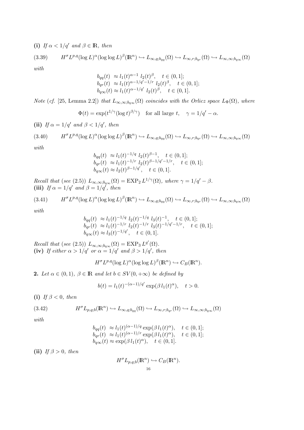(i) If  $\alpha < 1/q'$  and  $\beta \in \mathbb{R}$ , then

$$
(3.39) \qquad H^{\sigma}L^{p,q}(\log L)^{\alpha}(\log \log L)^{\beta}(\mathbb{R}^n) \hookrightarrow L_{\infty,q;b_{qq}}(\Omega) \hookrightarrow L_{\infty,r;b_{qr}}(\Omega) \hookrightarrow L_{\infty,\infty;b_{q\infty}}(\Omega)
$$

with

$$
b_{qq}(t) \approx l_1(t)^{\alpha-1} l_2(t)^{\beta}, \quad t \in (0,1];
$$
  
\n
$$
b_{qr}(t) \approx l_1(t)^{\alpha-1/q'-1/r} l_2(t)^{\beta}, \quad t \in (0,1];
$$
  
\n
$$
b_{q\infty}(t) \approx l_1(t)^{\alpha-1/q'} l_2(t)^{\beta}, \quad t \in (0,1].
$$

Note (cf. [25, Lemma 2.2]) that  $L_{\infty,\infty;b_{q\infty}}(\Omega)$  coincides with the Orlicz space  $L_{\Phi}(\Omega)$ , where

$$
\Phi(t) = \exp(t^{1/\gamma} (\log t)^{\beta/\gamma}) \quad \text{for all large } t, \quad \gamma = 1/q' - \alpha.
$$

(ii) If  $\alpha = 1/q'$  and  $\beta < 1/q'$ , then

$$
(3.40) \tH^{\sigma}L^{p,q}(\log L)^{\alpha}(\log \log L)^{\beta}(\mathbb{R}^n) \hookrightarrow L_{\infty,q;b_{qq}}(\Omega) \hookrightarrow L_{\infty,r;b_{qr}}(\Omega) \hookrightarrow L_{\infty,\infty;b_{q\infty}}(\Omega)
$$

with

$$
b_{qq}(t) \approx l_1(t)^{-1/q} l_2(t)^{\beta-1}, \quad t \in (0,1];
$$
  
\n
$$
b_{qr}(t) \approx l_1(t)^{-1/r} l_2(t)^{\beta-1/q'-1/r}, \quad t \in (0,1];
$$
  
\n
$$
b_{q\infty}(t) \approx l_2(t)^{\beta-1/q'}, \quad t \in (0,1].
$$

Recall that (see (2.5))  $L_{\infty,\infty;b_{q\infty}}(\Omega) = \text{EXP}_2 L^{1/\gamma}(\Omega)$ , where  $\gamma = 1/q' - \beta$ . (iii) If  $\alpha = 1/q'$  and  $\beta = 1/q'$ , then

$$
(3.41) \tH^{\sigma}L^{p,q}(\log L)^{\alpha}(\log \log L)^{\beta}(\mathbb{R}^n) \hookrightarrow L_{\infty,q;b_{qq}}(\Omega) \hookrightarrow L_{\infty,r;b_{qr}}(\Omega) \hookrightarrow L_{\infty,\infty;b_{q\infty}}(\Omega)
$$

with

$$
b_{qq}(t) \approx l_1(t)^{-1/q} l_2(t)^{-1/q} l_3(t)^{-1}, \quad t \in (0, 1];
$$
  
\n
$$
b_{qr}(t) \approx l_1(t)^{-1/r} l_2(t)^{-1/r} l_3(t)^{-1/q'-1/r}, \quad t \in (0, 1];
$$
  
\n
$$
b_{q\infty}(t) \approx l_3(t)^{-1/q'}, \quad t \in (0, 1].
$$

Recall that (see (2.5))  $L_{\infty,\infty;b_{q\infty}}(\Omega) = \text{EXP}_3 L^{q'}(\Omega)$ . (iv) If either  $\alpha > 1/q'$  or  $\alpha = 1/q'$  and  $\beta > 1/q'$ , then

$$
H^{\sigma}L^{p,q}(\log L)^{\alpha}(\log \log L)^{\beta}(\mathbb{R}^n) \hookrightarrow C_B(\mathbb{R}^n).
$$

2. Let  $\alpha \in (0,1)$ ,  $\beta \in \mathbb{R}$  and let  $b \in SV(0, +\infty)$  be defined by

$$
b(t) = l_1(t)^{-(\alpha - 1)/q'} \exp(\beta l_1(t)^{\alpha}), \quad t > 0.
$$

(i) If  $\beta < 0$ , then

(3.42) 
$$
H^{\sigma} L_{p,q;b}(\mathbb{R}^n) \hookrightarrow L_{\infty,q;b_{qq}}(\Omega) \hookrightarrow L_{\infty,r;b_{qr}}(\Omega) \hookrightarrow L_{\infty,\infty;b_{q\infty}}(\Omega)
$$

with

$$
b_{qq}(t) \approx l_1(t)^{(\alpha-1)/q} \exp(\beta l_1(t)^{\alpha}), \quad t \in (0,1];
$$
  
\n
$$
b_{qr}(t) \approx l_1(t)^{(\alpha-1)/r} \exp(\beta l_1(t)^{\alpha}), \quad t \in (0,1];
$$
  
\n
$$
b_{q\infty}(t) \approx \exp(\beta l_1(t)^{\alpha}), \quad t \in (0,1].
$$

(ii) If  $\beta > 0$ , then

$$
H^{\sigma}L_{p,q;b}(\mathbb{R}^n) \hookrightarrow C_B(\mathbb{R}^n).
$$
  
<sup>16</sup>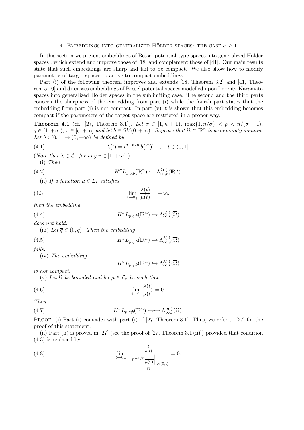#### 4. EMBEDDINGS INTO GENERALIZED HÖLDER SPACES: THE CASE  $\sigma \geq 1$

In this section we present embeddings of Bessel-potential-type spaces into generalized Hölder spaces , which extend and improve those of [18] and complement those of [41]. Our main results state that such embeddings are sharp and fail to be compact. We also show how to modify parameters of target spaces to arrive to compact embeddings.

Part (i) of the following theorem improves and extends [18, Theorem 3.2] and [41, Theorem 5.10] and discusses embeddings of Bessel potential spaces modelled upon Lorentz-Karamata spaces into generalized Hölder spaces in the sublimiting case. The second and the third parts concern the sharpness of the embedding from part (i) while the fourth part states that the embedding from part  $(i)$  is not compact. In part  $(v)$  it is shown that this embedding becomes compact if the parameters of the target space are restricted in a proper way.

**Theorem 4.1** (cf. [27, Theorem 3.1]). Let  $\sigma \in [1, n+1)$ ,  $\max\{1, n/\sigma\} < p < n/(\sigma - 1)$ ,  $q \in (1, +\infty)$ ,  $r \in [q, +\infty]$  and let  $b \in SV(0, +\infty)$ . Suppose that  $\Omega \subset \mathbb{R}^n$  is a nonempty domain. Let  $\lambda : (0,1] \to (0,+\infty)$  be defined by

(4.1) 
$$
\lambda(t) = t^{\sigma - n/p} [b(t^n)]^{-1}, \quad t \in (0, 1].
$$

(Note that  $\lambda \in \mathcal{L}_r$  for any  $r \in [1, +\infty]$ .)

$$
(i) \ \ Then
$$

(4.2) 
$$
H^{\sigma} L_{p,q;b}(\mathbb{R}^n) \hookrightarrow \Lambda_{\infty,r}^{\lambda(\cdot)}(\overline{\mathbb{R}^n}).
$$

(ii) If a function  $\mu \in \mathcal{L}_r$  satisfies

(4.3) 
$$
\overline{\lim_{t \to 0_+} \frac{\lambda(t)}{\mu(t)}} = +\infty,
$$

then the embedding

(4.4) 
$$
H^{\sigma}L_{p,q;b}(\mathbb{R}^n)\hookrightarrow \Lambda_{\infty,r}^{\mu(.)}(\overline{\Omega})
$$

does not hold.

(iii) Let  $\overline{q} \in (0, q)$ . Then the embedding

(4.5) 
$$
H^{\sigma} L_{p,q;b}(\mathbb{R}^n) \hookrightarrow \Lambda_{\infty,\overline{q}}^{\lambda(\cdot)}(\overline{\Omega})
$$

fails.

(iv) The embedding

$$
H^{\sigma}L_{p,q;b}(\mathbb{R}^n) \hookrightarrow \Lambda_{\infty,r}^{\lambda(\cdot)}(\overline{\Omega})
$$

is not compact.

(v) Let  $\Omega$  be bounded and let  $\mu \in \mathcal{L}_r$  be such that

(4.6) 
$$
\lim_{t \to 0+} \frac{\lambda(t)}{\mu(t)} = 0.
$$

$$
Then
$$

(4.7) 
$$
H^{\sigma} L_{p,q;b}(\mathbb{R}^n) \hookrightarrow \hookrightarrow \Lambda_{\infty,r}^{\mu(\cdot)}(\overline{\Omega}).
$$

PROOF. (i) Part (i) coincides with part (i) of [27, Theorem 3.1]. Thus, we refer to [27] for the proof of this statement.

(ii) Part (ii) is proved in [27] (see the proof of [27, Theorem 3.1 (ii)]) provided that condition (4.3) is replaced by

(4.8) 
$$
\lim_{t \to 0+} \frac{\frac{t}{\lambda(t)}}{\left\|\tau^{-1/r} \frac{\tau}{\mu(\tau)}\right\|_{r;(0,t)}} = 0.
$$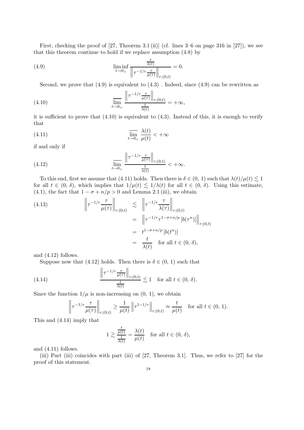First, checking the proof of [27, Theorem 3.1 (ii)] (cf. lines 3–6 on page 316 in [27]), we see that this theorem continue to hold if we replace assumption (4.8) by

(4.9) 
$$
\liminf_{t \to 0+} \frac{\frac{t}{\lambda(t)}}{\left\|\tau^{-1/r} \frac{\tau}{\mu(\tau)}\right\|_{r;(0,t)}} = 0.
$$

Second, we prove that  $(4.9)$  is equivalent to  $(4.3)$ . Indeed, since  $(4.9)$  can be rewritten as

(4.10) 
$$
\lim_{t \to 0_+} \frac{\left\| \tau^{-1/r} \frac{\tau}{\mu(\tau)} \right\|_{r;(0,t)}}{\frac{t}{\lambda(t)}} = +\infty,
$$

it is sufficient to prove that  $(4.10)$  is equivalent to  $(4.3)$ . Instead of this, it is enough to verify that

(4.11) 
$$
\overline{\lim}_{t \to 0_+} \frac{\lambda(t)}{\mu(t)} < +\infty
$$

if and only if

(4.12) 
$$
\lim_{t \to 0+} \frac{\left\|\tau^{-1/r} \frac{\tau}{\mu(\tau)}\right\|_{r;(0,t)}}{\frac{t}{\lambda(t)}} < +\infty.
$$

To this end, first we assume that (4.11) holds. Then there is  $\delta \in (0, 1)$  such that  $\lambda(t)/\mu(t) \leq 1$ for all  $t \in (0, \delta)$ , which implies that  $1/\mu(t) \leq 1/\lambda(t)$  for all  $t \in (0, \delta)$ . Using this estimate, (4.1), the fact that  $1 - \sigma + n/p > 0$  and Lemma 2.1 (iii), we obtain

(4.13)  

$$
\left\| \tau^{-1/r} \frac{\tau}{\mu(\tau)} \right\|_{r;(0,t)} \leq \left\| \tau^{-1/r} \frac{\tau}{\lambda(\tau)} \right\|_{r;(0,t)}
$$

$$
= \left\| \tau^{-1/r} \tau^{1-\sigma+n/p} \left[ b(\tau^n) \right] \right\|_{r;(0,t)}
$$

$$
= t^{1-\sigma+n/p} \left[ b(t^n) \right]
$$

$$
= \frac{t}{\lambda(t)} \quad \text{for all } t \in (0, \delta),
$$

and (4.12) follows.

Suppose now that (4.12) holds. Then there is  $\delta \in (0, 1)$  such that

(4.14) 
$$
\frac{\left\|\tau^{-1/r} \frac{\tau}{\mu(\tau)}\right\|_{r;(0,t)}}{\frac{t}{\lambda(t)}} \lesssim 1 \text{ for all } t \in (0, \delta).
$$

Since the function  $1/\mu$  is non-increasing on  $(0, 1)$ , we obtain

$$
\left\|\tau^{-1/r}\frac{\tau}{\mu(\tau)}\right\|_{r;(0,t)} \ge \frac{1}{\mu(t)} \left\|\tau^{1-1/r}\right\|_{r;(0,t)} \approx \frac{t}{\mu(t)} \quad \text{for all } t \in (0, 1).
$$

This and (4.14) imply that

$$
1 \gtrsim \frac{\frac{t}{\mu(t)}}{\frac{t}{\lambda(t)}} = \frac{\lambda(t)}{\mu(t)} \quad \text{for all } t \in (0, \delta),
$$

and (4.11) follows.

(iii) Part (iii) coincides with part (iii) of [27, Theorem 3.1]. Thus, we refer to [27] for the proof of this statement.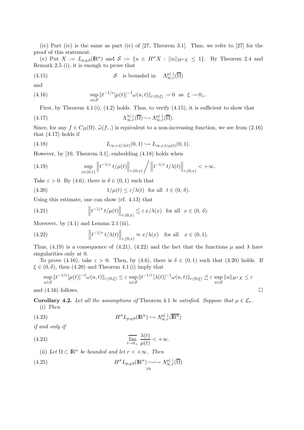(iv) Part (iv) is the same as part (iv) of [27, Theorem 3.1]. Thus, we refer to [27] for the proof of this statement.

(v) Put  $X := L_{p,q,b}(\mathbb{R}^n)$  and  $S := \{u \in H^{\sigma}X : ||u||_{H^{\sigma}X} \leq 1\}$ . By Theorem 2.4 and Remark 2.5 (i), it is enough to prove that

(4.15) 
$$
S
$$
 is bounded in  $\Lambda_{\infty,r}^{\mu(\cdot)}(\overline{\Omega})$ 

and

(4.16) 
$$
\sup_{u \in \mathcal{S}} \|t^{-1/r}[\mu(t)]^{-1} \omega(u,t)\|_{r;(0,\xi)} \to 0 \text{ as } \xi \to 0_+.
$$

First, by Theorem 4.1 (i), (4.2) holds. Thus, to verify (4.15), it is sufficient to show that

(4.17) 
$$
\Lambda_{\infty,r}^{\lambda(\cdot)}(\overline{\Omega}) \hookrightarrow \Lambda_{\infty,r}^{\mu(\cdot)}(\overline{\Omega}).
$$

Since, for any  $f \in C_B(\Omega)$ ,  $\tilde{\omega}(f,.)$  is equivalent to a non-increasing function, we see from (2.16) that  $(4.17)$  holds if

(4.18) 
$$
L_{\infty,r;t/\lambda(t)}(0,1) \hookrightarrow L_{\infty,r;t/\mu(t)}(0,1).
$$

However, by [10, Theorem 3.1], embedding (4.18) holds when

(4.19) 
$$
\sup_{x\in(0,1)}\left\|t^{-1/r}t/\mu(t)\right\|_{r;(0,x)}\bigg/\left\|t^{-1/r}t/\lambda(t)\right\|_{r;(0,x)}<+\infty.
$$

Take  $\varepsilon > 0$ . By (4.6), there is  $\delta \in (0,1)$  such that

(4.20) 
$$
1/\mu(t) \leq \varepsilon/\lambda(t) \text{ for all } t \in (0, \delta).
$$

Using this estimate, one can show (cf. 4.13) that

(4.21) 
$$
\left\|t^{-1/r}t/\mu(t)\right\|_{r;(0,x)} \lesssim \varepsilon x/\lambda(x) \text{ for all } x \in (0,\delta).
$$

Moreover, by  $(4.1)$  and Lemma 2.1 (iii),

(4.22) 
$$
\left\|t^{-1/r}t/\lambda(t)\right\|_{r;(0,x)} \approx x/\lambda(x) \text{ for all } x \in (0,1).
$$

Thus, (4.19) is a consequence of (4.21), (4.22) and the fact that the functions  $\mu$  and  $\lambda$  have singularities only at 0.

To prove (4.16), take  $\varepsilon > 0$ . Then, by (4.6), there is  $\delta \in (0,1)$  such that (4.20) holds. If  $\xi \in (0, \delta)$ , then  $(4.20)$  and Theorem 4.1 (i) imply that

$$
\sup_{u\in\mathcal{S}}\|t^{-1/r}[\mu(t)]^{-1}\omega(u,t)\|_{r;(0,\xi)} \leq \varepsilon \sup_{u\in\mathcal{S}}\|t^{-1/r}[\lambda(t)]^{-1}\omega(u,t)\|_{r;(0,\xi)} \precsim \varepsilon \sup_{u\in\mathcal{S}}\|u\|_{H^{\sigma}X} \leq \varepsilon
$$

and  $(4.16)$  follows.

**Corollary 4.2.** Let all the assumptions of Theorem 4.1 be satisfied. Suppose that  $\mu \in \mathcal{L}_r$ . (i) Then

(4.23) 
$$
H^{\sigma} L_{p,q;b}(\mathbb{R}^n) \hookrightarrow \Lambda_{\infty,r}^{\mu(.)}(\overline{\mathbb{R}^n})
$$

if and only if

(4.24) 
$$
\overline{\lim}_{t \to 0+} \frac{\lambda(t)}{\mu(t)} < +\infty.
$$

(ii) Let  $\Omega \subset \mathbb{R}^n$  be bounded and let  $r < +\infty$ . Then

(4.25) 
$$
H^{\sigma} L_{p,q;b}(\mathbb{R}^n) \hookrightarrow \hookrightarrow \Lambda_{\infty,r}^{\mu(.)}(\overline{\Omega})
$$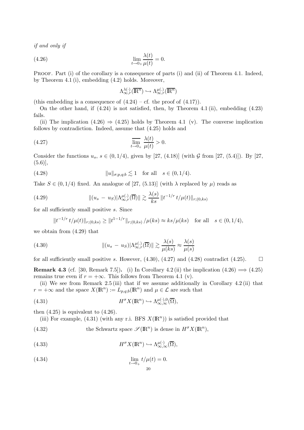if and only if

$$
\lim_{t \to 0_+} \frac{\lambda(t)}{\mu(t)} = 0.
$$

PROOF. Part (i) of the corollary is a consequence of parts (i) and (ii) of Theorem 4.1. Indeed, by Theorem 4.1 (i), embedding (4.2) holds. Moreover,

$$
\Lambda_{\infty,r}^{\lambda(\cdot)}(\overline{\mathbb{R}^n}) \hookrightarrow \Lambda_{\infty,r}^{\mu(\cdot)}(\overline{\mathbb{R}^n})
$$

(this embedding is a consequence of  $(4.24)$  – cf. the proof of  $(4.17)$ ).

On the other hand, if (4.24) is not satisfied, then, by Theorem 4.1 (ii), embedding (4.23) fails.

(ii) The implication  $(4.26) \Rightarrow (4.25)$  holds by Theorem 4.1 (v). The converse implication follows by contradiction. Indeed, assume that (4.25) holds and

(4.27) 
$$
\overline{\lim}_{t \to 0+} \frac{\lambda(t)}{\mu(t)} > 0.
$$

Consider the functions  $u_s, s \in (0, 1/4)$ , given by [27, (4.18)] (with G from [27, (5.4)]). By [27,  $(5.6)$ ],

(4.28) 
$$
||u||_{\sigma;p,q;b} \lesssim 1 \quad \text{for all} \quad s \in (0,1/4).
$$

Take  $S \in (0, 1/4)$  fixed. An analogue of [27, (5.13)] (with  $\lambda$  replaced by  $\mu$ ) reads as

(4.29) 
$$
\| (u_s - u_S) |\Lambda_{\infty, r}^{\mu(.)}(\overline{\Omega}) \| \gtrsim \frac{\lambda(s)}{ks} \| t^{-1/r} t/\mu(t) \|_{r;(0,ks)}
$$

for all sufficiently small positive s. Since

$$
||t^{-1/r} t/\mu(t)||_{r;(0,ks)} \ge ||t^{1-1/r}||_{r;(0,ks)} / \mu(ks) \approx ks/\mu(ks) \text{ for all } s \in (0,1/4),
$$

we obtain from (4.29) that

(4.30) 
$$
\| (u_s - u_S) |\Lambda_{\infty, r}^{\mu(.)}(\overline{\Omega}) \| \gtrsim \frac{\lambda(s)}{\mu(ks)} \approx \frac{\lambda(s)}{\mu(s)}
$$

for all sufficiently small positive s. However,  $(4.30)$ ,  $(4.27)$  and  $(4.28)$  contradict  $(4.25)$ .

**Remark 4.3** (cf. [30, Remark 7.5]). (i) In Corollary 4.2 (ii) the implication  $(4.26) \implies (4.25)$ remains true even if  $r = +\infty$ . This follows from Theorem 4.1 (v).

(ii) We see from Remark 2.5 (iii) that if we assume additionally in Corollary 4.2 (ii) that  $r = +\infty$  and the space  $X(\mathbb{R}^n) := L_{p,q;b}(\mathbb{R}^n)$  and  $\mu \in \mathcal{L}$  are such that

(4.31) 
$$
H^{\sigma} X(\mathbb{R}^n) \hookrightarrow \Lambda_{\infty,\infty}^{\mu(\cdot),0}(\overline{\Omega}),
$$

then  $(4.25)$  is equivalent to  $(4.26)$ .

(iii) For example, (4.31) (with any r.i. BFS  $X(\mathbb{R}^n)$ ) is satisfied provided that

(4.32) the Schwartz space  $\mathscr{S}(\mathbb{R}^n)$  is dense in  $H^{\sigma}X(\mathbb{R}^n)$ ,

(4.33) 
$$
H^{\sigma} X(\mathbb{R}^n) \hookrightarrow \Lambda^{\mu(\cdot)}_{\infty,\infty}(\overline{\Omega}),
$$

(4.34) 
$$
\lim_{t \to 0_+} t/\mu(t) = 0.
$$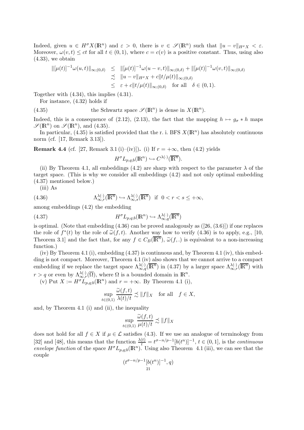Indeed, given  $u \in H^{\sigma}X(\mathbb{R}^n)$  and  $\varepsilon > 0$ , there is  $v \in \mathscr{S}(\mathbb{R}^n)$  such that  $||u - v||_{H^{\sigma}X} < \varepsilon$ . Moreover,  $\omega(v, t) \le ct$  for all  $t \in (0, 1)$ , where  $c = c(v)$  is a positive constant. Thus, using also  $(4.33)$ , we obtain

$$
\|[\mu(t)]^{-1}\omega(u,t)\|_{\infty;(0,\delta)} \leq \|[\mu(t)]^{-1}\omega(u-v,t)\|_{\infty;(0,\delta)} + \|[\mu(t)]^{-1}\omega(v,t)\|_{\infty;(0,\delta)} \n\precsim \|u-v\|_{H^{\sigma}X} + c\|t/\mu(t)\|_{\infty;(0,\delta)} \n\leq \varepsilon + c\|t/\mu(t)\|_{\infty;(0,\delta)} \quad \text{for all} \quad \delta \in (0,1).
$$

Together with (4.34), this implies (4.31).

For instance, (4.32) holds if

(4.35) the Schwartz space  $\mathscr{S}(\mathbb{R}^n)$  is dense in  $X(\mathbb{R}^n)$ .

Indeed, this is a consequence of (2.12), (2.13), the fact that the mapping  $h \mapsto g_{\sigma} * h$  maps  $\mathscr{S}(\mathbb{R}^n)$  on  $\mathscr{S}(\mathbb{R}^n)$ , and  $(4.35)$ .

In particular, (4.35) is satisfied provided that the r. i. BFS  $X(\mathbb{R}^n)$  has absolutely continuous norm (cf. [17, Remark 3.13]).

**Remark 4.4** (cf. [27, Remark 3.1 (i)–(iv)]). (i) If  $r = +\infty$ , then (4.2) yields

$$
H^{\sigma}L_{p,q;b}(\mathbb{R}^n)\hookrightarrow C^{\lambda(\cdot)}(\overline{\mathbb{R}^n}).
$$

(ii) By Theorem 4.1, all embeddings (4.2) are sharp with respect to the parameter  $\lambda$  of the target space. (This is why we consider all embeddings (4.2) and not only optimal embedding (4.37) mentioned below.)

(iii) As

(4.36) 
$$
\Lambda_{\infty,r}^{\lambda(\cdot)}(\overline{\mathbb{R}^n}) \hookrightarrow \Lambda_{\infty,s}^{\lambda(\cdot)}(\overline{\mathbb{R}^n}) \text{ if } 0 < r < s \le +\infty,
$$

among embeddings (4.2) the embedding

(4.37) 
$$
H^{\sigma}L_{p,q;b}(\mathbb{R}^n)\hookrightarrow \Lambda_{\infty,q}^{\lambda(\cdot)}(\overline{\mathbb{R}^n})
$$

is optimal. (Note that embedding  $(4.36)$  can be proved analogously as  $([26, (3.6)])$  if one replaces the role of  $f^*(t)$  by the role of  $\tilde{\omega}(f, t)$ . Another way how to verify  $(4.36)$  is to apply, e.g., [10, Theorem 3.1] and the fact that, for any  $f \in C_B(\overline{\mathbb{R}^n})$ ,  $\widetilde{\omega}(f,.)$  is equivalent to a non-increasing function function.)

(iv) By Theorem 4.1 (i), embedding (4.37) is continuous and, by Theorem 4.1 (iv), this embedding is not compact. Moreover, Theorem 4.1 (iv) also shows that we cannot arrive to a compact embedding if we replace the target space  $\Lambda_{\infty,q}^{\lambda(\cdot)}(\overline{\mathbb{R}^n})$  in (4.37) by a larger space  $\Lambda_{\infty,r}^{\lambda(\cdot)}(\overline{\mathbb{R}^n})$  with  $r > q$  or even by  $\Lambda_{\infty,r}^{\lambda(\cdot)}(\overline{\Omega})$ , where  $\Omega$  is a bounded domain in  $\mathbb{R}^n$ .

(v) Put  $X := H^{\sigma} L_{p,q;b}(\mathbb{R}^n)$  and  $r = +\infty$ . By Theorem 4.1 (i),

$$
\sup_{t \in (0,1)} \frac{\widetilde{\omega}(f,t)}{\lambda(t)/t} \precsim ||f||_X \quad \text{for all} \quad f \in X,
$$

and, by Theorem 4.1 (i) and (ii), the inequality

$$
\sup_{t \in (0,1)} \frac{\widetilde{\omega}(f,t)}{\mu(t)/t} \precsim ||f||_X
$$

does not hold for all  $f \in X$  if  $\mu \in \mathcal{L}$  satisfies (4.3). If we use an analogue of terminology from [32] and [48], this means that the function  $\frac{\lambda(t)}{t} = t^{\sigma-n/p-1} [b(t^n)]^{-1}$ ,  $t \in (0,1]$ , is the *continuous* envelope function of the space  $H^{\sigma}L_{p,q;b}(\mathbb{R}^n)$ . Using also Theorem 4.1 (iii), we can see that the couple

$$
(t^{\sigma - n/p - 1} [b(t^n)]^{-1}, q)
$$
  
21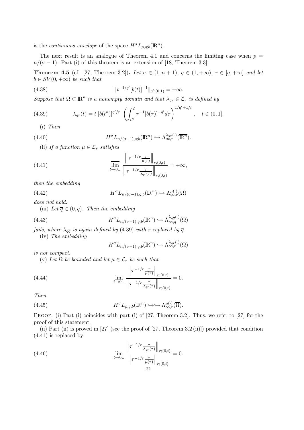is the *continuous* envelope of the space  $H^{\sigma}L_{p,q;b}(\mathbb{R}^n)$ .

The next result is an analogue of Theorem 4.1 and concerns the limiting case when  $p =$  $n/(\sigma - 1)$ . Part (i) of this theorem is an extension of [18, Theorem 3.3].

**Theorem 4.5** (cf. [27, Theorem 3.2]). Let  $\sigma \in (1, n + 1)$ ,  $q \in (1, +\infty)$ ,  $r \in [q, +\infty]$  and let  $b \in SV(0, +\infty)$  be such that

(4.38) 
$$
\|t^{-1/q'}[b(t)]^{-1}\|_{q';(0,1)} = +\infty.
$$

Suppose that  $\Omega \subset \mathbb{R}^n$  is a nonempty domain and that  $\lambda_{qr} \in \mathcal{L}_r$  is defined by

(4.39) 
$$
\lambda_{qr}(t) = t [b(t^n)]^{q'/r} \left( \int_{t^n}^2 \tau^{-1} [b(\tau)]^{-q'} d\tau \right)^{1/q'+1/r}, \quad t \in (0,1].
$$

(i) Then

(4.40) 
$$
H^{\sigma} L_{n/(\sigma-1),q;b}(\mathbb{R}^n) \hookrightarrow \Lambda_{\infty,r}^{\lambda_{qr}(\cdot)}(\overline{\mathbb{R}^n}).
$$

(ii) If a function  $\mu \in \mathcal{L}_r$  satisfies

(4.41) 
$$
\lim_{t \to 0+} \frac{\left\| \tau^{-1/r} \frac{\tau}{\mu(\tau)} \right\|_{r;(0,t)}}{\left\| \tau^{-1/r} \frac{\tau}{\lambda_{qr}(\tau)} \right\|_{r;(0,t)}} = +\infty,
$$

then the embedding

(4.42) 
$$
H^{\sigma}L_{n/(\sigma-1),q;b}(\mathbb{R}^n)\hookrightarrow \Lambda_{\infty,r}^{\mu(.)}(\overline{\Omega})
$$

does not hold.

(iii) Let  $\overline{q} \in (0, q)$ . Then the embedding

(4.43) 
$$
H^{\sigma}L_{n/(\sigma-1),q;b}(\mathbb{R}^n) \hookrightarrow \Lambda^{\lambda_{q\overline{q}}(.)}_{\infty,\overline{q}}(\overline{\Omega})
$$

fails, where  $\lambda_{q\overline{q}}$  is again defined by (4.39) with r replaced by  $\overline{q}$ . (iv) The embedding

$$
H^{\sigma}L_{n/(\sigma-1),q;b}(\mathbb{R}^n) \hookrightarrow \Lambda_{\infty,r}^{\lambda_{qr}(\cdot)}(\overline{\Omega})
$$

is not compact.

(v) Let  $\Omega$  be bounded and let  $\mu \in \mathcal{L}_r$  be such that

(4.44) 
$$
\lim_{t \to 0+} \frac{\left\| \tau^{-1/r} \frac{\tau}{\mu(\tau)} \right\|_{r;(0,t)}}{\left\| \tau^{-1/r} \frac{\tau}{\lambda_{qr}(\tau)} \right\|_{r;(0,t)}} = 0.
$$

Then

(4.45) 
$$
H^{\sigma} L_{p,q;b}(\mathbb{R}^n) \hookrightarrow \hookrightarrow \Lambda_{\infty,r}^{\mu(\cdot)}(\overline{\Omega}).
$$

PROOF. (i) Part (i) coincides with part (i) of [27, Theorem 3.2]. Thus, we refer to [27] for the proof of this statement.

(ii) Part (ii) is proved in [27] (see the proof of [27, Theorem 3.2 (ii)]) provided that condition (4.41) is replaced by

(4.46) 
$$
\lim_{t \to 0+} \frac{\left\| \tau^{-1/r} \frac{\tau}{\lambda_{qr}(\tau)} \right\|_{r;(0,t)}}{\left\| \tau^{-1/r} \frac{\tau}{\mu(\tau)} \right\|_{r;(0,t)}} = 0.
$$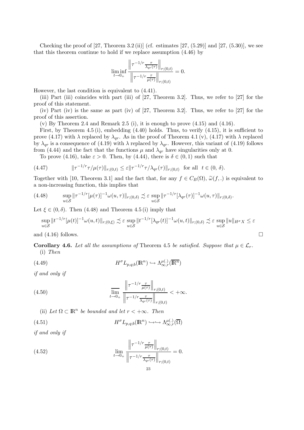Checking the proof of  $[27,$  Theorem 3.2 (ii)] (cf. estimates  $[27, (5.29)]$  and  $[27, (5.30)]$ , we see that this theorem continue to hold if we replace assumption (4.46) by

$$
\liminf_{t \to 0_+} \frac{\left\| \tau^{-1/r} \frac{\tau}{\lambda_{qr}(\tau)} \right\|_{r;(0,t)}}{\left\| \tau^{-1/r} \frac{\tau}{\mu(\tau)} \right\|_{r;(0,t)}} = 0.
$$

However, the last condition is equivalent to (4.41).

(iii) Part (iii) coincides with part (iii) of [27, Theorem 3.2]. Thus, we refer to [27] for the proof of this statement.

(iv) Part (iv) is the same as part (iv) of [27, Theorem 3.2]. Thus, we refer to [27] for the proof of this assertion.

 $(v)$  By Theorem 2.4 and Remark 2.5 (i), it is enough to prove  $(4.15)$  and  $(4.16)$ .

First, by Theorem 4.5 (i), embedding  $(4.40)$  holds. Thus, to verify  $(4.15)$ , it is sufficient to prove (4.17) with  $\lambda$  replaced by  $\lambda_{qr}$ . As in the proof of Theorem 4.1 (v), (4.17) with  $\lambda$  replaced by  $\lambda_{qr}$  is a consequence of (4.19) with  $\lambda$  replaced by  $\lambda_{qr}$ . However, this variant of (4.19) follows from (4.44) and the fact that the functions  $\mu$  and  $\lambda_{qr}$  have singularities only at 0.

To prove (4.16), take  $\varepsilon > 0$ . Then, by (4.44), there is  $\delta \in (0,1)$  such that

(4.47) 
$$
\|\tau^{-1/r}\tau/\mu(\tau)\|_{r;(0,t)} \leq \varepsilon \|\tau^{-1/r}\tau/\lambda_{qr}(\tau)\|_{r;(0,t)} \text{ for all } t \in (0,\delta).
$$

Together with [10, Theorem 3.1] and the fact that, for any  $f \in C_B(\Omega)$ ,  $\tilde{\omega}(f,.)$  is equivalent to a non-increasing function, this implies that

$$
(4.48) \qquad \sup_{u\in\mathcal{S}} \|\tau^{-1/r}[\mu(\tau)]^{-1}\omega(u,\tau)\|_{r;(0,\delta)} \precsim \varepsilon \sup_{u\in\mathcal{S}} \|\tau^{-1/r}[\lambda_{qr}(\tau)]^{-1}\omega(u,\tau)\|_{r;(0,\delta)}.
$$

Let  $\xi \in (0, \delta)$ . Then (4.48) and Theorem 4.5 (i) imply that

$$
\sup_{u\in\mathcal{S}}\|t^{-1/r}[\mu(t)]^{-1}\omega(u,t)\|_{r;(0,\xi)}\precsim \varepsilon \sup_{u\in\mathcal{S}}\|t^{-1/r}[\lambda_{qr}(t)]^{-1}\omega(u,t)\|_{r;(0,\delta)}\precsim \varepsilon \sup_{u\in\mathcal{S}}\|u\|_{H^\sigma X}\le \varepsilon
$$

and  $(4.16)$  follows.

**Corollary 4.6.** Let all the assumptions of Theorem 4.5 be satisfied. Suppose that  $\mu \in \mathcal{L}_r$ . (i) Then

(4.49) 
$$
H^{\sigma} L_{p,q;b}(\mathbb{R}^n) \hookrightarrow \Lambda_{\infty,r}^{\mu(.)}(\overline{\mathbb{R}^n})
$$

if and only if

(4.50) 
$$
\frac{\left\|\tau^{-1/r} \frac{\tau}{\mu(\tau)}\right\|_{r;(0,t)}}{\left\|\tau^{-1/r} \frac{\tau}{\lambda_{qr}(\tau)}\right\|_{r;(0,t)}} < +\infty.
$$

(ii) Let 
$$
\Omega \subset \mathbb{R}^n
$$
 be bounded and let  $r < +\infty$ . Then

(4.51) 
$$
H^{\sigma} L_{p,q;b}(\mathbb{R}^n) \hookrightarrow \hookrightarrow \Lambda_{\infty,r}^{\mu(.)}(\overline{\Omega})
$$

if and only if

(4.52) 
$$
\lim_{t \to 0+} \frac{\left\| \tau^{-1/r} \frac{\tau}{\mu(\tau)} \right\|_{r;(0,t)}}{\left\| \tau^{-1/r} \frac{\tau}{\lambda_{qr}(\tau)} \right\|_{r;(0,t)}} = 0.
$$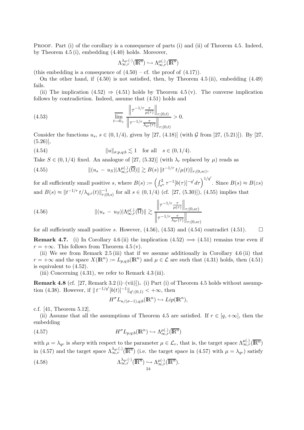PROOF. Part (i) of the corollary is a consequence of parts (i) and (ii) of Theorem 4.5. Indeed, by Theorem 4.5 (i), embedding (4.40) holds. Moreover,

$$
\Lambda_{\infty,r}^{\lambda_{qr}(\cdot)}(\overline{\mathbb{R}^{n}}) \hookrightarrow \Lambda_{\infty,r}^{\mu(\cdot)}(\overline{\mathbb{R}^{n}})
$$

(this embedding is a consequence of  $(4.50)$  – cf. the proof of  $(4.17)$ ).

On the other hand, if (4.50) is not satisfied, then, by Theorem 4.5 (ii), embedding (4.49) fails.

(ii) The implication  $(4.52) \Rightarrow (4.51)$  holds by Theorem 4.5 (v). The converse implication follows by contradiction. Indeed, assume that (4.51) holds and

(4.53) 
$$
\lim_{t \to 0_+} \frac{\left\| \tau^{-1/r} \frac{\tau}{\mu(\tau)} \right\|_{r;(0,t)}}{\left\| \tau^{-1/r} \frac{\tau}{\lambda_{qr}(\tau)} \right\|_{r;(0,t)}} > 0.
$$

Consider the functions  $u_s, s \in (0, 1/4)$ , given by [27, (4.18)] (with G from [27, (5.21)]). By [27,  $(5.26)$ ],

(4.54)  $||u||_{\sigma;p,q;b} \lesssim 1$  for all  $s \in (0, 1/4)$ .

Take  $S \in (0, 1/4)$  fixed. An analogue of [27, (5.32)] (with  $\lambda_r$  replaced by  $\mu$ ) reads as

(4.55) 
$$
\| (u_s - u_S) |\Lambda_{\infty, r}^{\mu(.)}(\overline{\Omega}) \| \gtrsim B(s) \| t^{-1/r} t / \mu(t) \|_{r;(0, s\varepsilon)},
$$

for all sufficiently small positive s, where  $B(s) := \left(\int_{s^n}^2 \tau^{-1} [b(\tau)]^{-q'} d\tau\right)^{1/q'}$ . Since  $B(s) \approx B(\varepsilon s)$ and  $B(s) \approx ||t^{-1/r} t/\lambda_{q,r}(t)||_{r;(0)}^{-1}$  $r_{(0,s)}^{-1}$  for all  $s \in (0,1/4)$  (cf. [27, (5.30)]), (4.55) implies that

(4.56) 
$$
\| (u_s - u_S) |\Lambda_{\infty, r}^{\mu(.)}(\overline{\Omega}) \| \gtrsim \frac{\left\| \tau^{-1/r} \frac{\tau}{\mu(\tau)} \right\|_{r;(0, s\varepsilon)}}{\left\| \tau^{-1/r} \frac{\tau}{\lambda_{qr}(\tau)} \right\|_{r;(0, s\varepsilon)}}
$$

for all sufficiently small positive s. However,  $(4.56)$ ,  $(4.53)$  and  $(4.54)$  contradict  $(4.51)$ .

**Remark 4.7.** (i) In Corollary 4.6 (ii) the implication  $(4.52) \implies (4.51)$  remains true even if  $r = +\infty$ . This follows from Theorem 4.5 (v).

(ii) We see from Remark 2.5 (iii) that if we assume additionally in Corollary 4.6 (ii) that  $r = +\infty$  and the space  $X(\mathbb{R}^n) := L_{p,q,b}(\mathbb{R}^n)$  and  $\mu \in \mathcal{L}$  are such that (4.31) holds, then (4.51) is equivalent to (4.52).

(iii) Concerning  $(4.31)$ , we refer to Remark  $4.3$  (iii).

**Remark 4.8** (cf. [27, Remark 3.2 (i)–(vii)]). (i) Part (i) of Theorem 4.5 holds without assumption (4.38). However, if  $||t^{-1/q'}[b(t)]^{-1}||_{q'(0,1)} < +\infty$ , then

$$
H^{\sigma}L_{n/(\sigma-1),q;b}(\mathbb{R}^n)\hookrightarrow Lip(\mathbb{R}^n),
$$

c.f. [41, Theorem 5.12].

(ii) Assume that all the assumptions of Theorem 4.5 are satisfied. If  $r \in [q, +\infty]$ , then the embedding

(4.57) 
$$
H^{\sigma}L_{p,q;b}(\mathbb{R}^n)\hookrightarrow \Lambda_{\infty,r}^{\mu(.)}(\overline{\mathbb{R}^n})
$$

with  $\mu = \lambda_{qr}$  is sharp with respect to the parameter  $\mu \in \mathcal{L}_r$ , that is, the target space  $\Lambda_{\infty,r}^{\mu(.)}(\overline{\mathbb{R}^n})$ in (4.57) and the target space  $\Lambda_{\infty,r}^{\lambda_{qr}(\cdot)}(\overline{\mathbb{R}^n})$  (i.e. the target space in (4.57) with  $\mu = \lambda_{qr}$ ) satisfy

(4.58) 
$$
\Lambda_{\infty,r}^{\lambda_{qr}(\cdot)}(\overline{\mathbb{R}^n}) \hookrightarrow \Lambda_{\infty,r}^{\mu(\cdot)}(\overline{\mathbb{R}^n}).
$$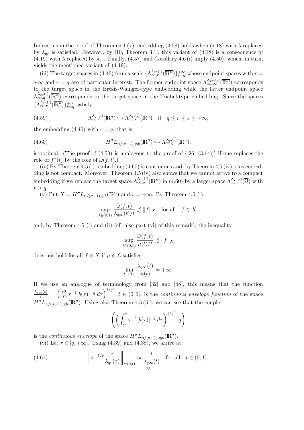Indeed, as in the proof of Theorem 4.1 (v), embedding (4.58) holds when (4.18) with  $\lambda$  replaced by  $\lambda_{qr}$  is satisfied. However, by [10, Theorem 3.1], this variant of (4.18) is a consequence of (4.19) with  $\lambda$  replaced by  $\lambda_{qr}$ . Finally, (4.57) and Corollary 4.6 (i) imply (4.50), which, in turn, yields the mentioned variant of (4.19).

(iii) The target spaces in (4.40) form a scale  $\{\Lambda_{\infty,r}^{\lambda_{qr}(\cdot)}(\overline{\mathbb{R}^n})\}_{r=q}^{+\infty}$  whose endpoint spaces with  $r=$  $+\infty$  and  $r = q$  are of particular interest. The former endpoint space  $\Lambda_{\infty,\infty}^{\lambda_{q\infty}(\cdot)}(\overline{\mathbb{R}^n})$  corresponds to the target space in the Brézis-Wainger-type embedding while the latter endpoint space  $\Lambda_{\infty,q}^{\lambda_{qq}(\cdot)}(\overline{\mathbb{R}^n})$  corresponds to the target space in the Triebel-type embedding. Since the spaces  $\{\Lambda_{\infty,r}^{\lambda_{qr}(\cdot)}(\overline{\mathbb{R}^n})\}_{r=q}^{+\infty}$  satisfy

(4.59) 
$$
\Lambda_{\infty,r}^{\lambda_{qr}(\cdot)}(\overline{\mathbb{R}^n}) \hookrightarrow \Lambda_{\infty,s}^{\lambda_{qs}(\cdot)}(\overline{\mathbb{R}^n}) \quad \text{if} \quad q \leq r \leq s \leq +\infty,
$$

the embedding  $(4.40)$  with  $r = q$ , that is,

(4.60) 
$$
H^{\sigma} L_{n/(\sigma-1),q;b}(\mathbb{R}^n) \hookrightarrow \Lambda_{\infty,q}^{\lambda_{qq}(\cdot)}(\overline{\mathbb{R}^n}).
$$

is optimal. (The proof of  $(4.59)$  is analogous to the proof of  $([26, (3.14)])$  if one replaces the role of  $f^*(t)$  by the role of  $\tilde{\omega}(f,t)$ .)<br>(iv) Dy Theorem 4.5 (i) orcheddi

(iv) By Theorem 4.5 (i), embedding (4.60) is continuous and, by Theorem 4.5 (iv), this embedding is not compact. Moreover, Theorem 4.5 (iv) also shows that we cannot arrive to a compact embedding if we replace the target space  $\Lambda_{\infty,q}^{\lambda_{qq}(\cdot)}(\overline{\mathbb{R}^n})$  in (4.60) by a larger space  $\Lambda_{\infty,r}^{\lambda_{qr}(\cdot)}(\overline{\Omega})$  with  $r > q$ .

(v) Put  $X = H^{\sigma} L_{n/(\sigma-1),q;b}(\mathbb{R}^n)$  and  $r = +\infty$ . By Theorem 4.5 (i),

$$
\sup_{t \in (0,1)} \frac{\widetilde{\omega}(f,t)}{\lambda_{q\infty}(t)/t} \precsim ||f||_X \quad \text{for all} \quad f \in X,
$$

and, by Theorem  $4.5$  (i) and (ii) (cf. also part (vi) of this remark), the inequality

$$
\sup_{t \in (0,1)} \frac{\widetilde{\omega}(f,t)}{\mu(t)/t} \precsim ||f||_X
$$

does not hold for all  $f \in X$  if  $\mu \in \mathcal{L}$  satisfies

$$
\overline{\lim_{t \to 0_+}} \frac{\lambda_{q\infty}(t)}{\mu(t)} = +\infty.
$$

If we use an analogue of terminology from [32] and [48], this means that the function  $\frac{\lambda_{q\infty}(t)}{t} = \left(\int_{t^n}^2 \tau^{-1} [b(\tau)]^{-q'} d\tau\right)^{1/q'}, t \in (0,1],$  is the *continuous envelope function* of the space  $H^{\sigma}L_{n/(\sigma-1),q;b}(\mathbb{R}^n)$ . Using also Theorem 4.5 (iii), we can see that the couple

$$
\left( \left( \int_{t^n}^2 \tau^{-1} [b(\tau)]^{-q'} d\tau \right)^{1/q'}, q \right)
$$

is the *continuous envelope* of the space  $H^{\sigma} L_{n/(\sigma-1),q;b}(\mathbb{R}^n)$ .

(vi) Let  $r \in [q, +\infty]$ . Using (4.39) and (4.38), we arrive at

(4.61) 
$$
\left\| \tau^{-1/r} \frac{\tau}{\lambda_{qr}(\tau)} \right\|_{r;(0,t)} \approx \frac{t}{\lambda_{q\infty}(t)} \quad \text{for all} \quad t \in (0,1).
$$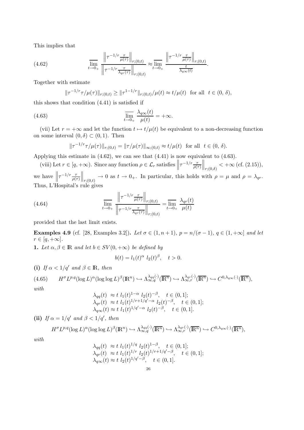This implies that

(4.62) 
$$
\lim_{t \to 0+} \frac{\left\|\tau^{-1/r} \frac{\tau}{\mu(\tau)}\right\|_{r;(0,t)}}{\left\|\tau^{-1/r} \frac{\tau}{\lambda_{qr}(\tau)}\right\|_{r;(0,t)}} \approx \lim_{t \to 0+} \frac{\left\|\tau^{-1/r} \frac{\tau}{\mu(\tau)}\right\|_{r;(0,t)}}{\frac{t}{\lambda_{q\infty}(t)}}.
$$

Together with estimate

$$
\|\tau^{-1/r}\tau/\mu(\tau)\|_{r;(0,t)} \ge \|\tau^{1-1/r}\|_{r;(0,t)}/\mu(t) \approx t/\mu(t) \text{ for all } t \in (0,\delta),
$$

this shows that condition (4.41) is satisfied if

(4.63) 
$$
\overline{\lim}_{t \to 0_+} \frac{\lambda_{q\infty}(t)}{\mu(t)} = +\infty.
$$

(vii) Let  $r = +\infty$  and let the function  $t \mapsto t/\mu(t)$  be equivalent to a non-decreasing function on some interval  $(0, \delta) \subset (0, 1)$ . Then

$$
\|\tau^{-1/r}\tau/\mu(\tau)\|_{r;(0,t)} = \|\tau/\mu(\tau)\|_{\infty;(0,t)} \approx t/\mu(t) \text{ for all } t \in (0,\,\delta).
$$

Applying this estimate in (4.62), we can see that (4.41) is now equivalent to (4.63).

(viii) Let  $r \in [q, +\infty)$ . Since any function  $\rho \in \mathcal{L}_r$  satisfies  $\left\| \tau^{-1/r} \frac{\tau}{\rho(\tau)} \right\|$  $\Big\|_{r;(0,\delta)} < +\infty$  (cf. (2.15)), we have  $\left\| \tau^{-1/r} \frac{\tau}{\rho(\tau)} \right\|$  $\Big\|_{r;(0,t)} \to 0$  as  $t \to 0_+$ . In particular, this holds with  $\rho = \mu$  and  $\rho = \lambda_{qr}$ .

Thus, L'Hospital's rule gives

(4.64) 
$$
\frac{\lim_{t \to 0_{+}} \left\| \tau^{-1/r} \frac{\tau}{\mu(\tau)} \right\|_{r;(0,t)}}{\left\| \tau^{-1/r} \frac{\tau}{\lambda_{qr}(\tau)} \right\|_{r;(0,t)}} = \lim_{t \to 0_{+}} \frac{\lambda_{qr}(t)}{\mu(t)}
$$

provided that the last limit exists.

Examples 4.9 (cf. [28, Examples 3.2]). Let  $\sigma \in (1, n+1)$ ,  $p = n/(\sigma - 1)$ ,  $q \in (1, +\infty)$  and let  $r \in [q, +\infty].$ 

1. Let  $\alpha, \beta \in \mathbb{R}$  and let  $b \in SV(0, +\infty)$  be defined by

$$
b(t) = l_1(t)^{\alpha} l_2(t)^{\beta}, \quad t > 0.
$$

(i) If  $\alpha < 1/q'$  and  $\beta \in \mathbb{R}$ , then

 $(4.65)$  ${}^{p,q}(\log L)^{\alpha}(\log \log L)^{\beta}(\mathbb{R}^n) \hookrightarrow \Lambda_{\infty,q}^{\lambda_{qq}(\cdot)}(\overline{\mathbb{R}^n}) \hookrightarrow \Lambda_{\infty,r}^{\lambda_{qr}(\cdot)}(\overline{\mathbb{R}^n}) \hookrightarrow C^{0,\lambda_{q\infty}(\cdot)}(\overline{\mathbb{R}^n}),$ 

$$
\ with
$$

$$
\lambda_{qq}(t) \approx t \ l_1(t)^{1-\alpha} \ l_2(t)^{-\beta}, \quad t \in (0,1];
$$
  
\n
$$
\lambda_{qr}(t) \approx t \ l_1(t)^{1/r+1/q'-\alpha} \ l_2(t)^{-\beta}, \quad t \in (0,1];
$$
  
\n
$$
\lambda_{q\infty}(t) \approx t \ l_1(t)^{1/q'-\alpha} \ l_2(t)^{-\beta}, \quad t \in (0,1].
$$

(ii) If  $\alpha = 1/q'$  and  $\beta < 1/q'$ , then

$$
H^{\sigma}L^{p,q}(\log L)^{\alpha}(\log \log L)^{\beta}(\mathbb{R}^n) \hookrightarrow \Lambda_{\infty,q}^{\lambda_{qq}(\cdot)}(\overline{\mathbb{R}^n}) \hookrightarrow \Lambda_{\infty,r}^{\lambda_{qr}(\cdot)}(\overline{\mathbb{R}^n}) \hookrightarrow C^{0,\lambda_{q\infty}(\cdot)}(\overline{\mathbb{R}^n}),
$$

with

$$
\lambda_{qq}(t) \approx t \ l_1(t)^{1/q} \ l_2(t)^{1-\beta}, \quad t \in (0,1];
$$
  
\n
$$
\lambda_{qr}(t) \approx t \ l_1(t)^{1/r} \ l_2(t)^{1/r+1/q'-\beta}, \quad t \in (0,1];
$$
  
\n
$$
\lambda_{q\infty}(t) \approx t \ l_2(t)^{1/q'-\beta}, \quad t \in (0,1].
$$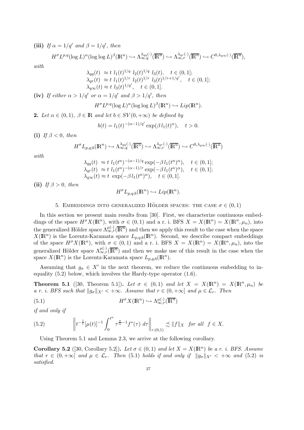(iii) If  $\alpha = 1/q'$  and  $\beta = 1/q'$ , then

$$
H^{\sigma}L^{p,q}(\log L)^{\alpha}(\log \log L)^{\beta}(\mathbb{R}^n) \hookrightarrow \Lambda_{\infty,q}^{\lambda_{qq}(\cdot)}(\overline{\mathbb{R}^n}) \hookrightarrow \Lambda_{\infty,r}^{\lambda_{qr}(\cdot)}(\overline{\mathbb{R}^n}) \hookrightarrow C^{0,\lambda_{q\infty}(\cdot)}(\overline{\mathbb{R}^n}),
$$

with

$$
\lambda_{qq}(t) \approx t \ l_1(t)^{1/q} \ l_2(t)^{1/q} \ l_3(t), \quad t \in (0, 1];
$$

$$
\lambda_{qr}(t) \approx t \ l_1(t)^{1/r} \ l_2(t)^{1/r} \ l_3(t)^{1/r+1/q'}, \quad t \in (0, 1];
$$

$$
\lambda_{q\infty}(t) \approx t \ l_3(t)^{1/q'}, \quad t \in (0, 1].
$$
  
(iv) If either  $\alpha > 1/q'$  or  $\alpha = 1/q'$  and  $\beta > 1/q'$ , then  

$$
H^{\sigma}L^{p,q}(\log L)^{\alpha}(\log \log L)^{\beta}(\mathbb{R}^n) \hookrightarrow Lip(\mathbb{R}^n).
$$

**2.** Let  $\alpha \in (0,1)$ ,  $\beta \in \mathbb{R}$  and let  $b \in SV(0,+\infty)$  be defined by

$$
b(t) = l_1(t)^{-(\alpha - 1)/q'} \exp(\beta l_1(t)^{\alpha}), \quad t > 0.
$$

(i) If  $\beta < 0$ , then

$$
H^{\sigma}L_{p,q;b}(\mathbb{R}^n) \hookrightarrow \Lambda_{\infty,q}^{\lambda_{qq}(\cdot)}(\overline{\mathbb{R}^n}) \hookrightarrow \Lambda_{\infty,r}^{\lambda_{qr}(\cdot)}(\overline{\mathbb{R}^n}) \hookrightarrow C^{0,\lambda_{q\infty}(\cdot)}(\overline{\mathbb{R}^n})
$$

with

$$
\lambda_{qq}(t) \approx t \ l_1(t^n)^{-(\alpha-1)/q} \exp(-\beta l_1(t^n)^{\alpha}), \quad t \in (0,1];
$$
  
\n
$$
\lambda_{qr}(t) \approx t \ l_1(t^n)^{-(\alpha-1)/r} \exp(-\beta l_1(t^n)^{\alpha}), \quad t \in (0,1];
$$
  
\n
$$
\lambda_{q\infty}(t) \approx t \exp(-\beta l_1(t^n)^{\alpha}), \quad t \in (0,1].
$$

(ii) If  $\beta > 0$ , then

$$
H^{\sigma}L_{p,q;b}(\mathbb{R}^n)\hookrightarrow Lip(\mathbb{R}^n).
$$

### 5. EMBEDDINGS INTO GENERALIZED HÖLDER SPACES: THE CASE  $\sigma \in (0,1)$

In this section we present main results from [30]. First, we characterize continuous embeddings of the space  $H^{\sigma} X(\mathbb{R}^n)$ , with  $\sigma \in (0,1)$  and a r. i. BFS  $X = X(\mathbb{R}^n) = X(\mathbb{R}^n, \mu_n)$ , into the generalized Hölder space  $\Lambda_{\infty,r}^{\mu(\cdot)}(\overline{\mathbb{R}^n})$  and then we apply this result to the case when the space  $X(\mathbb{R}^n)$  is the Lorentz-Karamata space  $L_{p,q;b}(\mathbb{R}^n)$ . Second, we describe compact embeddings of the space  $H^{\sigma}X(\mathbb{R}^n)$ , with  $\sigma \in (0,1)$  and a r. i. BFS  $X = X(\mathbb{R}^n) = X(\mathbb{R}^n, \mu_n)$ , into the generalized Hölder space  $\Lambda^{\mu(\cdot)}_{\infty,r}(\overline{\mathbb{R}^n})$  and then we make use of this result in the case when the space  $X(\mathbb{R}^n)$  is the Lorentz-Karamata space  $L_{p,q;b}(\mathbb{R}^n)$ .

Assuming that  $g_{\sigma} \in X'$  in the next theorem, we reduce the continuous embedding to inequality (5.2) below, which involves the Hardy-type operator (1.6).

**Theorem 5.1** ([30, Theorem 5.1]). Let  $\sigma \in (0,1)$  and let  $X = X(\mathbb{R}^n) = X(\mathbb{R}^n, \mu_n)$  be a r. i. BFS such that  $||g_{\sigma}||_{X'} < +\infty$ . Assume that  $r \in (0, +\infty]$  and  $\mu \in \mathcal{L}_r$ . Then

(5.1) 
$$
H^{\sigma} X(\mathbb{R}^n) \hookrightarrow \Lambda_{\infty, r}^{\mu(\cdot)}(\overline{\mathbb{R}^n})
$$

if and only if

(5.2) 
$$
\left\| t^{-\frac{1}{r}} [\mu(t)]^{-1} \int_0^{t^n} \tau^{\frac{\sigma}{n}-1} f^*(\tau) d\tau \right\|_{r;(0,1)} \precsim ||f||_X \text{ for all } f \in X.
$$

Using Theorem 5.1 and Lemma 2.3, we arrive at the following corollary.

**Corollary 5.2** ([30, Corollary 5.2]). Let  $\sigma \in (0,1)$  and let  $X = X(\mathbb{R}^n)$  be a r. i. BFS. Assume that  $r \in (0, +\infty]$  and  $\mu \in \mathcal{L}_r$ . Then (5.1) holds if and only if  $||g_{\sigma}||_{X'} < +\infty$  and (5.2) is satisfied.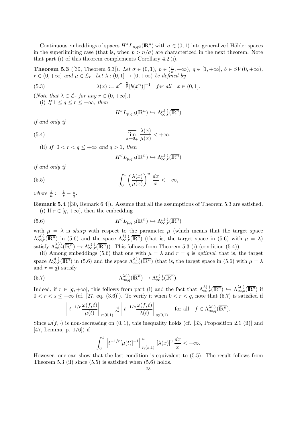Continuous embeddings of spaces  $H^{\sigma}L_{p,q;b}(\mathbb{R}^n)$  with  $\sigma \in (0,1)$  into generalized Hölder spaces in the superlimiting case (that is, when  $p > n/\sigma$ ) are characterized in the next theorem. Note that part (i) of this theorem complements Corollary 4.2 (i).

**Theorem 5.3** ([30, Theorem 6.3]). Let  $\sigma \in (0,1)$ ,  $p \in (\frac{n}{\sigma})$  $(\frac{n}{\sigma}, +\infty), q \in [1, +\infty], b \in SV(0, +\infty),$  $r \in (0, +\infty]$  and  $\mu \in \mathcal{L}_r$ . Let  $\lambda : (0, 1] \to (0, +\infty)$  be defined by

(5.3) 
$$
\lambda(x) := x^{\sigma - \frac{n}{p}} [b(x^n)]^{-1} \text{ for all } x \in (0, 1].
$$

(*Note that*  $\lambda \in \mathcal{L}_r$  *for any*  $r \in (0, +\infty]$ .) (i) If  $1 \leq q \leq r \leq +\infty$ , then

$$
H^{\sigma}L_{p,q;b}(\mathbb{R}^n) \hookrightarrow \Lambda_{\infty,r}^{\mu(\cdot)}(\overline{\mathbb{R}^n})
$$

if and only if

(5.4) 
$$
\overline{\lim}_{x \to 0_+} \frac{\lambda(x)}{\mu(x)} < +\infty.
$$

(ii) If  $0 < r < q \leq +\infty$  and  $q > 1$ , then

$$
H^{\sigma}L_{p,q;b}(\mathbb{R}^n) \hookrightarrow \Lambda_{\infty,r}^{\mu(\cdot)}(\overline{\mathbb{R}^n})
$$

if and only if

(5.5) 
$$
\int_0^1 \left(\frac{\lambda(x)}{\mu(x)}\right)^u \frac{dx}{x} < +\infty,
$$

where  $\frac{1}{u} := \frac{1}{r} - \frac{1}{q}$  $\frac{1}{q}.$ 

Remark 5.4 ([30, Remark 6.4]). Assume that all the assumptions of Theorem 5.3 are satisfied. (i) If  $r \in [q, +\infty]$ , then the embedding

(5.6) 
$$
H^{\sigma} L_{p,q;b}(\mathbb{R}^n) \hookrightarrow \Lambda_{\infty,r}^{\mu(\cdot)}(\overline{\mathbb{R}^n})
$$

with  $\mu = \lambda$  is *sharp* with respect to the parameter  $\mu$  (which means that the target space  $\Lambda_{\infty,r}^{\mu(\cdot)}(\overline{\mathbb{R}^n})$  in (5.6) and the space  $\Lambda_{\infty,r}^{\lambda(\cdot)}(\overline{\mathbb{R}^n})$  (that is, the target space in (5.6) with  $\mu = \lambda$ ) satisfy  $\Lambda_{\infty,r}^{\lambda(\cdot)}(\overline{\mathbb{R}^n}) \hookrightarrow \Lambda_{\infty,r}^{\mu(\cdot)}(\overline{\mathbb{R}^n})$ . This follows from Theorem 5.3 (i) (condition (5.4)).

(ii) Among embeddings (5.6) that one with  $\mu = \lambda$  and  $r = q$  is *optimal*, that is, the target space  $\Lambda_{\infty,r}^{\mu(\cdot)}(\overline{\mathbb{R}^n})$  in (5.6) and the space  $\Lambda_{\infty,q}^{\lambda(\cdot)}(\overline{\mathbb{R}^n})$  (that is, the target space in (5.6) with  $\mu=\lambda$ and  $r = q$ ) satisfy

(5.7) 
$$
\Lambda_{\infty,q}^{\lambda(\cdot)}(\overline{\mathbb{R}^n}) \hookrightarrow \Lambda_{\infty,r}^{\mu(\cdot)}(\overline{\mathbb{R}^n}).
$$

Indeed, if  $r \in [q, +\infty]$ , this follows from part (i) and the fact that  $\Lambda_{\infty,r}^{\lambda(\cdot)}(\overline{\mathbb{R}^n}) \hookrightarrow \Lambda_{\infty,s}^{\lambda(\cdot)}(\overline{\mathbb{R}^n})$  if  $0 < r < s \leq +\infty$  (cf. [27, eq. (3.6)]). To verify it when  $0 < r < q$ , note that (5.7) is satisfied if

$$
\left\| t^{-1/r} \frac{\omega(f,t)}{\mu(t)} \right\|_{r;(0,1)} \precsim \left\| t^{-1/q} \frac{\omega(f,t)}{\lambda(t)} \right\|_{q;(0,1)} \quad \text{for all} \quad f \in \Lambda_{\infty,q}^{\lambda(\cdot)}(\overline{\mathbb{R}^n}).
$$

Since  $\omega(f, \cdot)$  is non-decreasing on  $(0, 1)$ , this inequality holds (cf. [33, Proposition 2.1 (ii)] and [47, Lemma, p. 176]) if

$$
\int_0^1 \left\| t^{-1/r} [\mu(t)]^{-1} \right\|_{r;(x,1)}^u \left[ \lambda(x) \right]^u \frac{dx}{x} < +\infty.
$$

However, one can show that the last condition is equivalent to (5.5). The result follows from Theorem 5.3 (ii) since  $(5.5)$  is satisfied when  $(5.6)$  holds.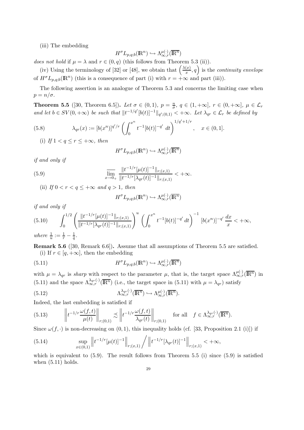(iii) The embedding

$$
H^{\sigma}L_{p,q;b}(\mathbb{R}^n) \hookrightarrow \Lambda_{\infty,r}^{\mu(\cdot)}(\overline{\mathbb{R}^n})
$$

does not hold if  $\mu = \lambda$  and  $r \in (0, q)$  (this follows from Theorem 5.3 (ii)).

(iv) Using the terminology of [32] or [48], we obtain that  $\left(\frac{\lambda(x)}{x}\right)$  $\left(\frac{x}{x}, q\right)$  is the *continuity envelope* of  $H^{\sigma}L_{p,q;b}(\mathbb{R}^n)$  (this is a consequence of part (i) with  $r = +\infty$  and part (iii)).

The following assertion is an analogue of Theorem 5.3 and concerns the limiting case when  $p = n/\sigma$ .

**Theorem 5.5** ([30, Theorem 6.5]). Let  $\sigma \in (0,1)$ ,  $p = \frac{n}{\sigma}$  $\frac{n}{\sigma}$ ,  $q \in (1, +\infty]$ ,  $r \in (0, +\infty]$ ,  $\mu \in \mathcal{L}_r$ and let  $b \in SV(0, +\infty)$  be such that  $||t^{-1/q'}[b(t)]^{-1}||_{q'(0,1)} < +\infty$ . Let  $\lambda_{qr} \in \mathcal{L}_r$  be defined by

(5.8) 
$$
\lambda_{qr}(x) := [b(x^n)]^{q'/r} \left( \int_0^{x^n} t^{-1} [b(t)]^{-q'} dt \right)^{1/q'+1/r}, \quad x \in (0,1].
$$

(i) If  $1 < q \leq r \leq +\infty$ , then

$$
H^{\sigma} L_{p,q;b}(\mathbb{R}^n) \hookrightarrow \Lambda_{\infty,r}^{\mu(\cdot)}(\overline{\mathbb{R}^n})
$$

if and only if

(5.9) 
$$
\overline{\lim_{x \to 0_+} \frac{\|t^{-1/r}[\mu(t)]^{-1}\|_{r;(x,1)}}{\|t^{-1/r}[\lambda_{qr}(t)]^{-1}\|_{r;(x,1)}} < +\infty.
$$

(ii) If  $0 < r < q < +\infty$  and  $q > 1$ , then

$$
H^{\sigma}L_{p,q;b}(\mathbb{R}^n) \hookrightarrow \Lambda_{\infty,r}^{\mu(\cdot)}(\overline{\mathbb{R}^n})
$$

if and only if

$$
(5.10) \qquad \int_0^{1/2} \left( \frac{\|t^{-1/r}[\mu(t)]^{-1}\|_{r;(x,1)}}{\|t^{-1/r}[\lambda_{qr}(t)]^{-1}\|_{r;(x,1)}} \right)^u \left( \int_0^{x^n} t^{-1} [b(t)]^{-q'} dt \right)^{-1} [b(x^n)]^{-q'} \frac{dx}{x} < +\infty,
$$

where  $\frac{1}{u} := \frac{1}{r} - \frac{1}{q}$ .

Remark 5.6 ([30, Remark 6.6]). Assume that all assumptions of Theorem 5.5 are satisfied. (i) If  $r \in [q, +\infty]$ , then the embedding

(5.11) 
$$
H^{\sigma} L_{p,q;b}(\mathbb{R}^n) \hookrightarrow \Lambda_{\infty,r}^{\mu(\cdot)}(\overline{\mathbb{R}^n})
$$

with  $\mu = \lambda_{qr}$  is *sharp* with respect to the parameter  $\mu$ , that is, the target space  $\Lambda_{\infty,r}^{\mu(\cdot)}(\overline{\mathbb{R}^n})$  in (5.11) and the space  $\Lambda_{\infty,r}^{\lambda_{qr}(\cdot)}(\overline{\mathbb{R}^n})$  (i.e., the target space in (5.11) with  $\mu = \lambda_{qr}$ ) satisfy

(5.12) 
$$
\Lambda_{\infty,r}^{\lambda_{qr}(\cdot)}(\overline{\mathbb{R}^n}) \hookrightarrow \Lambda_{\infty,r}^{\mu(\cdot)}(\overline{\mathbb{R}^n}).
$$

Indeed, the last embedding is satisfied if

(5.13) 
$$
\left\| t^{-1/r} \frac{\omega(f,t)}{\mu(t)} \right\|_{r;(0,1)} \precsim \left\| t^{-1/r} \frac{\omega(f,t)}{\lambda_{qr}(t)} \right\|_{r;(0,1)} \quad \text{for all} \quad f \in \Lambda_{\infty,r}^{\lambda_{qr}(\cdot)}(\overline{\mathbb{R}^n}).
$$

Since  $\omega(f, \cdot)$  is non-decreasing on  $(0, 1)$ , this inequality holds (cf. [33, Proposition 2.1 (i)]) if

(5.14) 
$$
\sup_{x\in(0,1)}\left\|t^{-1/r}[\mu(t)]^{-1}\right\|_{r;(x,1)} / \left\|t^{-1/r}[\lambda_{qr}(t)]^{-1}\right\|_{r;(x,1)} < +\infty,
$$

which is equivalent to  $(5.9)$ . The result follows from Theorem 5.5 (i) since  $(5.9)$  is satisfied when  $(5.11)$  holds.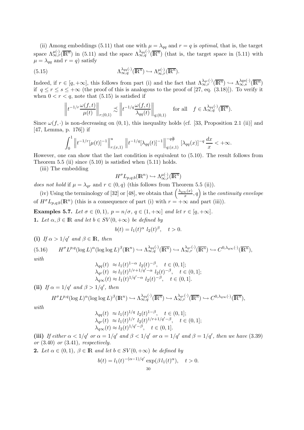(ii) Among embeddings (5.11) that one with  $\mu = \lambda_{qq}$  and  $r = q$  is *optimal*, that is, the target space  $\Lambda_{\infty,r}^{\mu(\cdot)}(\overline{\mathbb{R}^n})$  in (5.11) and the space  $\Lambda_{\infty,q}^{\lambda_{qq}(\cdot)}(\overline{\mathbb{R}^n})$  (that is, the target space in (5.11) with  $\mu = \lambda_{qq}$  and  $r = q$ ) satisfy

(5.15) 
$$
\Lambda_{\infty,q}^{\lambda_{qq}(\cdot)}(\overline{\mathbb{R}^n}) \hookrightarrow \Lambda_{\infty,r}^{\mu(\cdot)}(\overline{\mathbb{R}^n}).
$$

Indeed, if  $r \in [q, +\infty]$ , this follows from part (i) and the fact that  $\Lambda_{\infty,r}^{\lambda_{qr}(\cdot)}(\overline{\mathbb{R}^n}) \hookrightarrow \Lambda_{\infty,s}^{\lambda qs(\cdot)}(\overline{\mathbb{R}^n})$ if  $q \leq r \leq s \leq +\infty$  (the proof of this is analogous to the proof of [27, eq. (3.18)]). To verify it when  $0 < r < q$ , note that  $(5.15)$  is satisfied if

$$
\left\| t^{-1/r} \frac{\omega(f,t)}{\mu(t)} \right\|_{r;(0,1)} \precsim \left\| t^{-1/q} \frac{\omega(f,t)}{\lambda_{qq}(t)} \right\|_{q;(0,1)} \quad \text{for all} \quad f \in \Lambda_{\infty,q}^{\lambda_{qq}(\cdot)}(\overline{\mathbb{R}^n}).
$$

Since  $\omega(f, \cdot)$  is non-decreasing on  $(0, 1)$ , this inequality holds (cf. [33, Proposition 2.1 (ii)] and [47, Lemma, p. 176]) if

$$
\int_0^1 \left\| t^{-1/r} [\mu(t)]^{-1} \right\|_{r;(x,1)}^u \left\| t^{-1/q} [\lambda_{qq}(t)]^{-1} \right\|_{q;(x,1)}^{-q\frac{u}{r}} [\lambda_{qq}(x)]^{-q} \frac{dx}{x} < +\infty.
$$

However, one can show that the last condition is equivalent to (5.10). The result follows from Theorem 5.5 (ii) since  $(5.10)$  is satisfied when  $(5.11)$  holds.

(iii) The embedding

$$
H^{\sigma}L_{p,q;b}(\mathbb{R}^n) \hookrightarrow \Lambda_{\infty,r}^{\mu(\cdot)}(\overline{\mathbb{R}^n})
$$

does not hold if  $\mu = \lambda_{qr}$  and  $r \in (0, q)$  (this follows from Theorem 5.5 (ii)).

(iv) Using the terminology of [32] or [48], we obtain that  $\left(\frac{\lambda_{q\infty}(x)}{x}\right)$  $\left(\frac{\partial x}{\partial x}, q\right)$  is the *continuity envelope* of  $H^{\sigma}L_{p,q;b}(\mathbb{R}^n)$  (this is a consequence of part (i) with  $r = +\infty$  and part (iii)).

Examples 5.7. Let  $\sigma \in (0,1)$ ,  $p = n/\sigma$ ,  $q \in (1,+\infty]$  and let  $r \in [q,+\infty]$ . 1. Let  $\alpha, \beta \in \mathbb{R}$  and let  $b \in SV(0, +\infty)$  be defined by

$$
b(t) = l_1(t)^{\alpha} l_2(t)^{\beta}, \quad t > 0.
$$

(i) If  $\alpha > 1/q'$  and  $\beta \in \mathbb{R}$ , then

 $(5.16)$  ${}^{\sigma}L^{p,q}(\log L)^{\alpha}(\log \log L)^{\beta}(\mathbb{R}^n) \hookrightarrow \Lambda_{\infty,q}^{\lambda_{qq}(\cdot)}(\overline{\mathbb{R}^n}) \hookrightarrow \Lambda_{\infty,r}^{\lambda_{qr}(\cdot)}(\overline{\mathbb{R}^n}) \hookrightarrow C^{0,\lambda_{q\infty}(\cdot)}(\overline{\mathbb{R}^n}),$ with

$$
\lambda_{qq}(t) \approx l_1(t)^{1-\alpha} l_2(t)^{-\beta}, \quad t \in (0,1];
$$
  
\n
$$
\lambda_{qr}(t) \approx l_1(t)^{1/r+1/q'-\alpha} l_2(t)^{-\beta}, \quad t \in (0,1];
$$
  
\n
$$
\lambda_{q\infty}(t) \approx l_1(t)^{1/q'-\alpha} l_2(t)^{-\beta}, \quad t \in (0,1].
$$

(ii) If  $\alpha = 1/q'$  and  $\beta > 1/q'$ , then

$$
H^{\sigma}L^{p,q}(\log L)^{\alpha}(\log \log L)^{\beta}(\mathbb{R}^n) \hookrightarrow \Lambda_{\infty,q}^{\lambda_{qq}(\cdot)}(\overline{\mathbb{R}^n}) \hookrightarrow \Lambda_{\infty,r}^{\lambda_{qr}(\cdot)}(\overline{\mathbb{R}^n}) \hookrightarrow C^{0,\lambda_{q\infty}(\cdot)}(\overline{\mathbb{R}^n}),
$$

with

$$
\lambda_{qq}(t) \approx l_1(t)^{1/q} l_2(t)^{1-\beta}, \quad t \in (0,1];
$$
  
\n
$$
\lambda_{qr}(t) \approx l_1(t)^{1/r} l_2(t)^{1/r+1/q'-\beta}, \quad t \in (0,1];
$$
  
\n
$$
\lambda_{q\infty}(t) \approx l_2(t)^{1/q'-\beta}, \quad t \in (0,1].
$$

(iii) If either  $\alpha < 1/q'$  or  $\alpha = 1/q'$  and  $\beta < 1/q'$  or  $\alpha = 1/q'$  and  $\beta = 1/q'$ , then we have (3.39) or  $(3.40)$  or  $(3.41)$ , respectively.

2. Let  $\alpha \in (0,1)$ ,  $\beta \in \mathbb{R}$  and let  $b \in SV(0,+\infty)$  be defined by

$$
b(t) = l_1(t)^{-(\alpha - 1)/q'} \exp(\beta l_1(t)^{\alpha}), \quad t > 0.
$$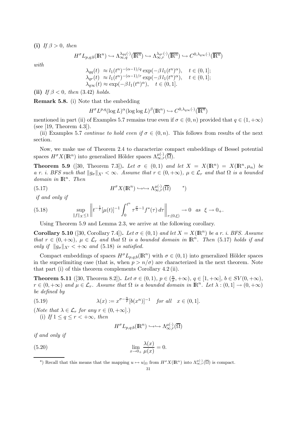(i) If  $\beta > 0$ , then

$$
H^{\sigma} L_{p,q;b}(\mathbb{R}^n) \hookrightarrow \Lambda_{\infty,q}^{\lambda_{qq}(\cdot)}(\overline{\mathbb{R}^n}) \hookrightarrow \Lambda_{\infty,r}^{\lambda_{qr}(\cdot)}(\overline{\mathbb{R}^n}) \hookrightarrow C^{0,\lambda_{q\infty}(\cdot)}(\overline{\mathbb{R}^n})
$$

with

$$
\lambda_{qq}(t) \approx l_1(t^n)^{-(\alpha-1)/q} \exp(-\beta l_1(t^n)^{\alpha}), \quad t \in (0,1];
$$
  
\n
$$
\lambda_{qr}(t) \approx l_1(t^n)^{-(\alpha-1)/r} \exp(-\beta l_1(t^n)^{\alpha}), \quad t \in (0,1];
$$
  
\n
$$
\lambda_{q\infty}(t) \approx \exp(-\beta l_1(t^n)^{\alpha}), \quad t \in (0,1].
$$

(ii) If  $\beta$  < 0, then (3.42) holds.

Remark 5.8. (i) Note that the embedding

$$
H^{\sigma}L^{p,q}(\log L)^{\alpha}(\log \log L)^{\beta}(\mathbb{R}^n) \hookrightarrow C^{0,\lambda_{q\infty}(\cdot)}(\overline{\mathbb{R}^n})
$$

mentioned in part (ii) of Examples 5.7 remains true even if  $\sigma \in (0, n)$  provided that  $q \in (1, +\infty)$ (see [19, Theorem 4.3]).

(ii) Examples 5.7 continue to hold even if  $\sigma \in (0, n)$ . This follows from results of the next section.

Now, we make use of Theorem 2.4 to characterize compact embeddings of Bessel potential spaces  $H^{\sigma}X(\mathbb{R}^n)$  into generalized Hölder spaces  $\Lambda_{\infty,r}^{\mu(\cdot)}(\overline{\Omega})$ .

**Theorem 5.9** ([30, Theorem 7.3]). Let  $\sigma \in (0,1)$  and let  $X = X(\mathbb{R}^n) = X(\mathbb{R}^n, \mu_n)$  be a r. i. BFS such that  $\|g_{\sigma}\|_{X'} < \infty$ . Assume that  $r \in (0, +\infty)$ ,  $\mu \in \mathcal{L}_r$  and that  $\Omega$  is a bounded  $domain\ in\ \mathbb{R}^n$ . Then

(5.17) 
$$
H^{\sigma} X(\mathbb{R}^n) \hookrightarrow \hookrightarrow \Lambda_{\infty, r}^{\mu(\cdot)}(\overline{\Omega}) \qquad \text{(*)}
$$

if and only if

(5.18) 
$$
\sup_{\|f\|_{X}\leq 1}\left\|t^{-\frac{1}{r}}[\mu(t)]^{-1}\int_{0}^{t^{n}}\tau^{\frac{\sigma}{n}-1}f^{*}(\tau)\,d\tau\right\|_{r;(0,\xi)}\to 0 \text{ as } \xi\to 0_{+}.
$$

Using Theorem 5.9 and Lemma 2.3, we arrive at the following corollary.

**Corollary 5.10** ([30, Corollary 7.4]). Let  $\sigma \in (0,1)$  and let  $X = X(\mathbb{R}^n)$  be a r. i. BFS. Assume that  $r \in (0, +\infty)$ ,  $\mu \in \mathcal{L}_r$  and that  $\Omega$  is a bounded domain in  $\mathbb{R}^n$ . Then (5.17) holds if and only if  $||g_{\sigma}||_{X'} < +\infty$  and (5.18) is satisfied.

Compact embeddings of spaces  $H^{\sigma}L_{p,q;b}(\mathbb{R}^n)$  with  $\sigma \in (0,1)$  into generalized Hölder spaces in the superlimiting case (that is, when  $p > n/\sigma$ ) are characterized in the next theorem. Note that part (i) of this theorem complements Corollary 4.2 (ii).

**Theorem 5.11** ([30, Theorem 8.2]). Let  $\sigma \in (0,1)$ ,  $p \in (\frac{n}{\sigma})$  $(\frac{n}{\sigma}, +\infty), \, \underline{q} \in [1, +\infty], \, b \in SV(0, +\infty),$  $r \in (0, +\infty)$  and  $\mu \in \mathcal{L}_r$ . Assume that  $\Omega$  is a bounded domain in  $\mathbb{R}^n$ . Let  $\lambda : (0, 1] \to (0, +\infty)$ be defined by

(5.19) 
$$
\lambda(x) := x^{\sigma - \frac{n}{p}} [b(x^n)]^{-1} \text{ for all } x \in (0, 1].
$$

(Note that  $\lambda \in \mathcal{L}_r$  for any  $r \in (0, +\infty]$ .) (i) If  $1 \leq q \leq r < +\infty$ , then

$$
H^{\sigma}L_{p,q;b}(\mathbb{R}^n) \hookrightarrow \hookrightarrow \Lambda_{\infty,r}^{\mu(\cdot)}(\overline{\Omega})
$$

if and only if

(5.20) 
$$
\lim_{x \to 0+} \frac{\lambda(x)}{\mu(x)} = 0.
$$

\*) Recall that this means that the mapping  $u \mapsto u|_{\Omega}$  from  $H^{\sigma}X(\mathbb{R}^n)$  into  $\Lambda_{\infty,r}^{\mu(\cdot)}(\overline{\Omega})$  is compact.